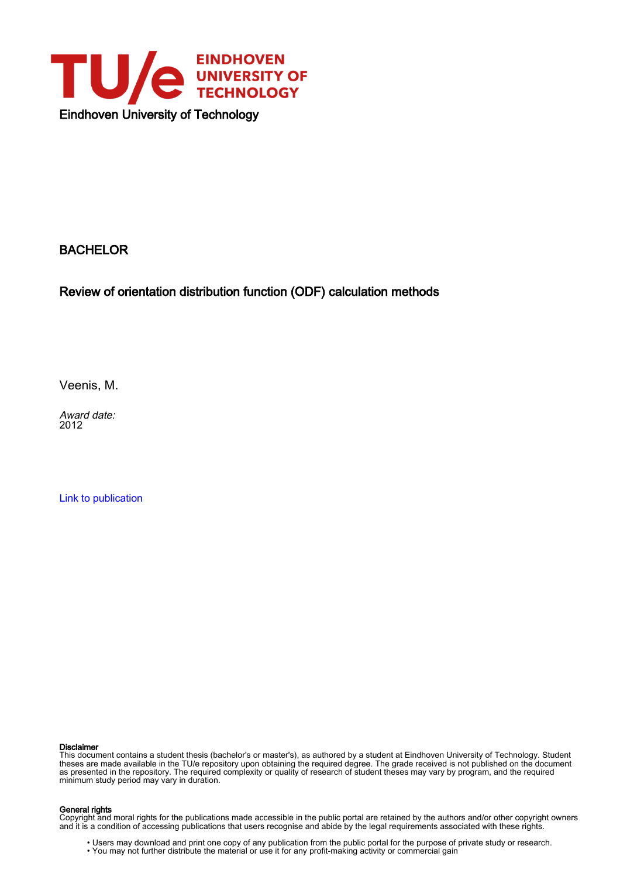

### BACHELOR

Review of orientation distribution function (ODF) calculation methods

Veenis, M.

Award date: 2012

[Link to publication](https://research.tue.nl/en/studentTheses/7317b68d-f285-4e4b-b04b-e20bc6e6db49)

#### Disclaimer

This document contains a student thesis (bachelor's or master's), as authored by a student at Eindhoven University of Technology. Student theses are made available in the TU/e repository upon obtaining the required degree. The grade received is not published on the document as presented in the repository. The required complexity or quality of research of student theses may vary by program, and the required minimum study period may vary in duration.

#### General rights

Copyright and moral rights for the publications made accessible in the public portal are retained by the authors and/or other copyright owners and it is a condition of accessing publications that users recognise and abide by the legal requirements associated with these rights.

• Users may download and print one copy of any publication from the public portal for the purpose of private study or research.<br>• You may not further distribute the material or use it for any profit-making activity or comm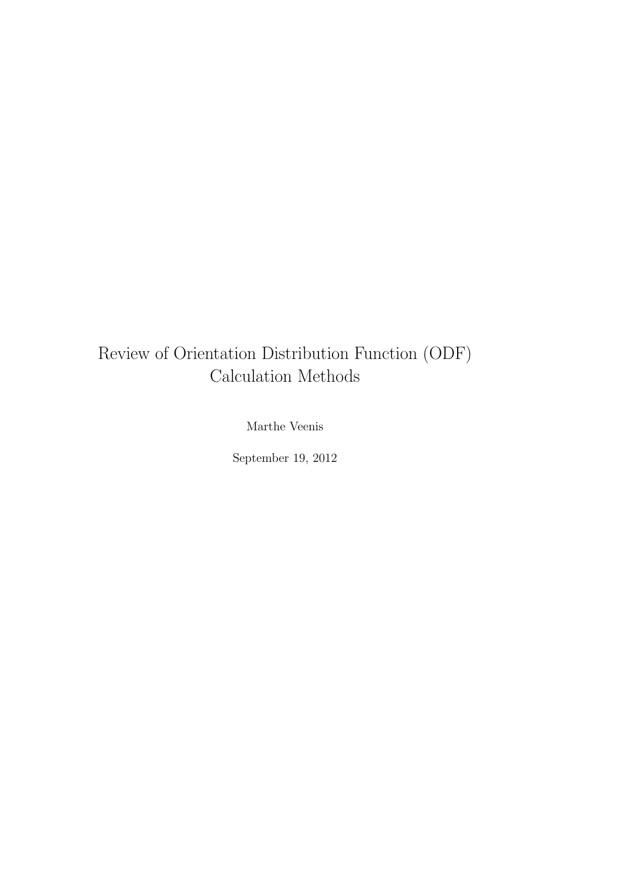# Review of Orientation Distribution Function (ODF) Calculation Methods

Marthe Veenis

September 19, 2012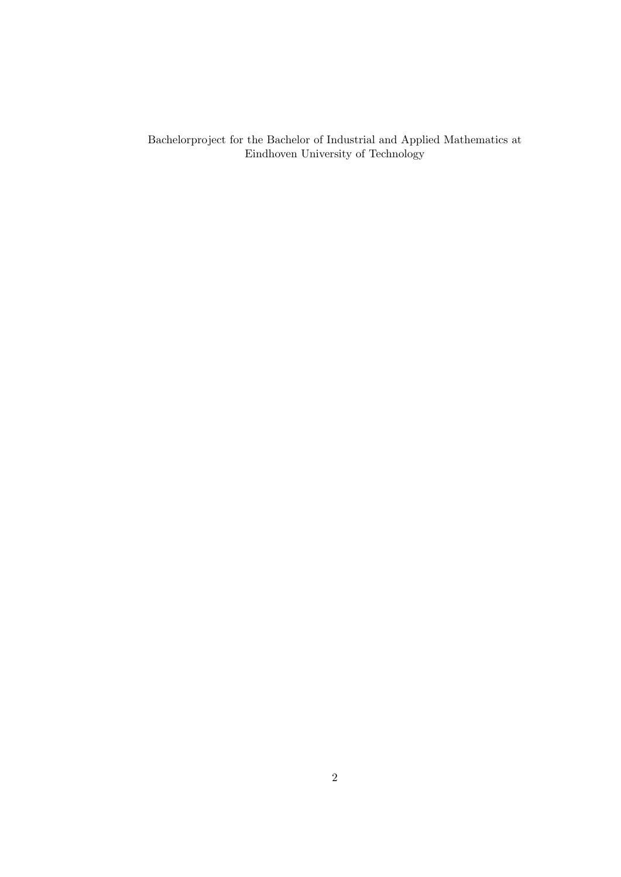Bachelorproject for the Bachelor of Industrial and Applied Mathematics at Eindhoven University of Technology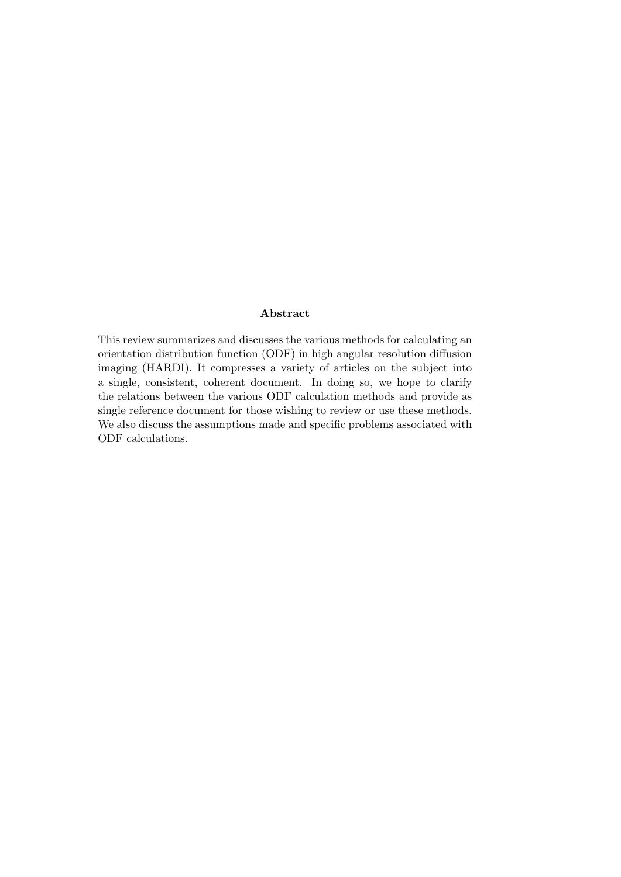#### Abstract

This review summarizes and discusses the various methods for calculating an orientation distribution function (ODF) in high angular resolution diffusion imaging (HARDI). It compresses a variety of articles on the subject into a single, consistent, coherent document. In doing so, we hope to clarify the relations between the various ODF calculation methods and provide as single reference document for those wishing to review or use these methods. We also discuss the assumptions made and specific problems associated with ODF calculations.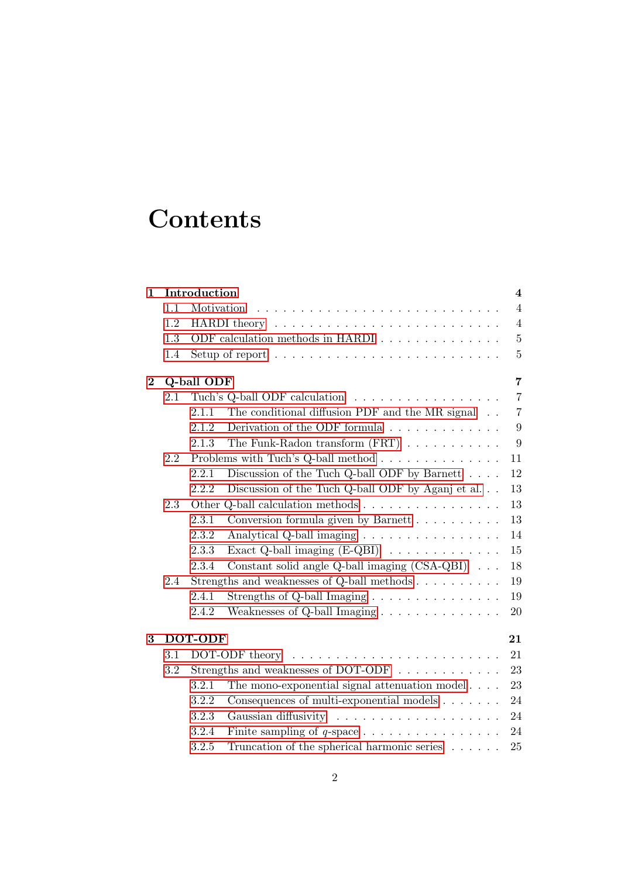# **Contents**

| $\mathbf 1$    | Introduction<br>4 |                                                                |                                                                         |                |  |  |  |
|----------------|-------------------|----------------------------------------------------------------|-------------------------------------------------------------------------|----------------|--|--|--|
|                | 1.1               | Motivation                                                     |                                                                         | $\overline{4}$ |  |  |  |
|                | 1.2               |                                                                |                                                                         | $\overline{4}$ |  |  |  |
|                | 1.3               |                                                                | ODF calculation methods in HARDI                                        | $\overline{5}$ |  |  |  |
|                | 1.4               |                                                                | Setup of report $\dots \dots \dots \dots \dots \dots \dots \dots \dots$ | $\overline{5}$ |  |  |  |
| $\overline{2}$ |                   | Q-ball ODF                                                     |                                                                         |                |  |  |  |
|                | 2.1               |                                                                | Tuch's Q-ball ODF calculation                                           | $\overline{7}$ |  |  |  |
|                |                   | 2.1.1                                                          | The conditional diffusion PDF and the MR signal                         | $\overline{7}$ |  |  |  |
|                |                   | 2.1.2                                                          | Derivation of the ODF formula $\ldots \ldots \ldots \ldots$             | 9              |  |  |  |
|                |                   | 2.1.3                                                          | The Funk-Radon transform $(FRT)$                                        | 9              |  |  |  |
|                | 2.2               |                                                                | Problems with Tuch's Q-ball method $\ldots \ldots \ldots \ldots$        | 11             |  |  |  |
|                |                   | 2.2.1                                                          | Discussion of the Tuch Q-ball ODF by Barnett $\ldots$ .                 | 12             |  |  |  |
|                |                   | 2.2.2                                                          | Discussion of the Tuch Q-ball ODF by Aganj et al.                       | 13             |  |  |  |
|                | 2.3               |                                                                | Other Q-ball calculation methods                                        | 13             |  |  |  |
|                |                   | 2.3.1                                                          | Conversion formula given by Barnett                                     | 13             |  |  |  |
|                |                   | 2.3.2                                                          | Analytical Q-ball imaging                                               | 14             |  |  |  |
|                |                   | 2.3.3                                                          | Exact Q-ball imaging $(E-QBI) \dots \dots \dots \dots \dots$            | 15             |  |  |  |
|                |                   | 2.3.4                                                          | Constant solid angle Q-ball imaging $(CSA-QBI) \cdot \cdot \cdot$       | 18             |  |  |  |
|                | 2.4               | Strengths and weaknesses of Q-ball methods $\dots \dots \dots$ |                                                                         |                |  |  |  |
|                |                   | 2.4.1                                                          | Strengths of Q-ball Imaging $\dots \dots \dots \dots \dots$             | 19             |  |  |  |
|                |                   | 2.4.2                                                          |                                                                         | 20             |  |  |  |
| 3              | DOT-ODF<br>21     |                                                                |                                                                         |                |  |  |  |
|                | 3.1               |                                                                | DOT-ODF theory                                                          | 21             |  |  |  |
|                | 3.2               | Strengths and weaknesses of DOT-ODF                            |                                                                         | 23             |  |  |  |
|                |                   | 3.2.1                                                          | The mono-exponential signal attenuation model $\ldots$ .                | 23             |  |  |  |
|                |                   | 3.2.2                                                          | Consequences of multi-exponential models                                | 24             |  |  |  |
|                |                   | 3.2.3                                                          |                                                                         | 24             |  |  |  |
|                |                   | 3.2.4                                                          |                                                                         | 24             |  |  |  |
|                |                   | 3.2.5                                                          | Truncation of the spherical harmonic series                             | 25             |  |  |  |
|                |                   |                                                                |                                                                         |                |  |  |  |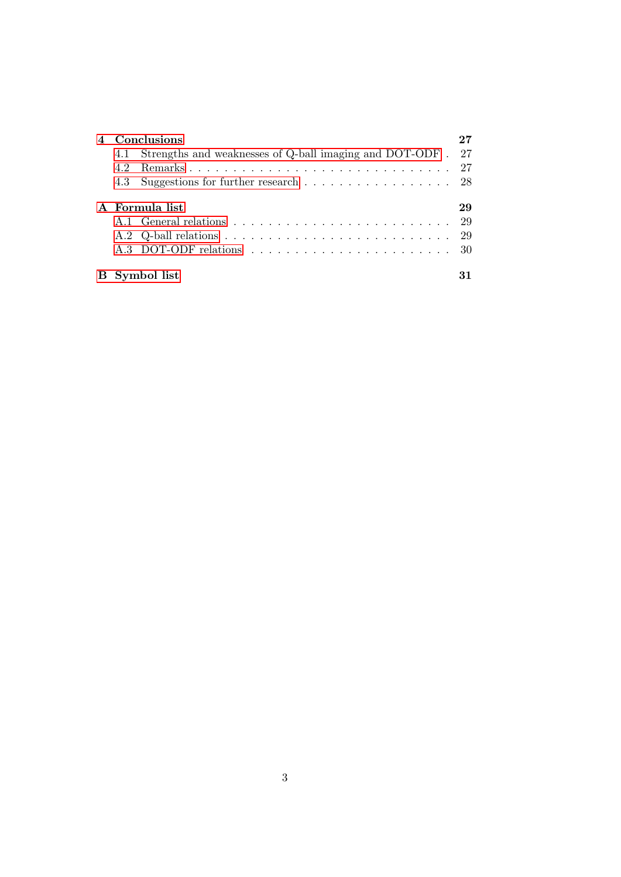| 42            | Conclusions<br>4.1 Strengths and weaknesses of Q-ball imaging and DOT-ODF . 27<br>4.3 Suggestions for further research 28 |                  |  |  |  |
|---------------|---------------------------------------------------------------------------------------------------------------------------|------------------|--|--|--|
|               | A Formula list                                                                                                            | 29<br>-29<br>-29 |  |  |  |
| B Symbol list |                                                                                                                           |                  |  |  |  |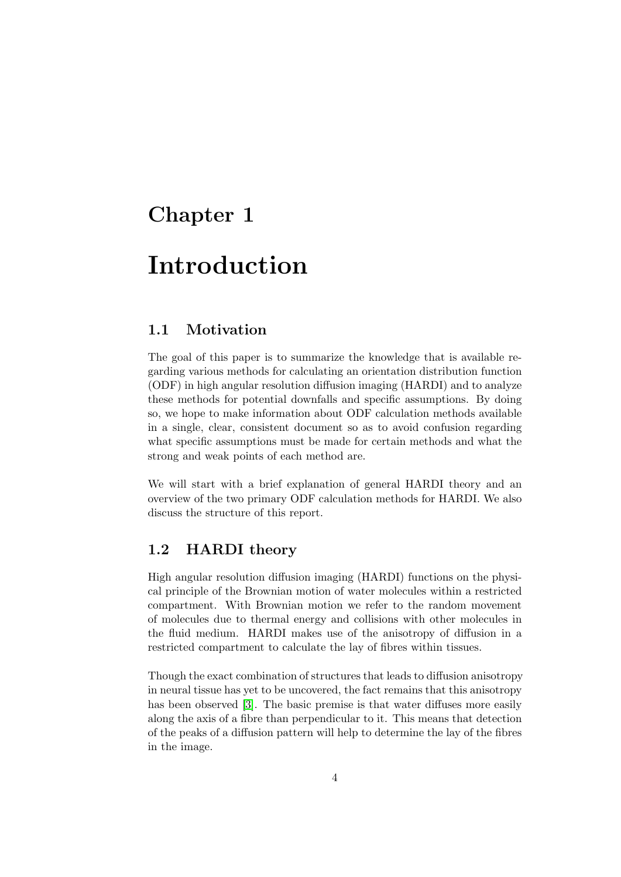# <span id="page-6-0"></span>Chapter 1

# Introduction

# <span id="page-6-1"></span>1.1 Motivation

The goal of this paper is to summarize the knowledge that is available regarding various methods for calculating an orientation distribution function (ODF) in high angular resolution diffusion imaging (HARDI) and to analyze these methods for potential downfalls and specific assumptions. By doing so, we hope to make information about ODF calculation methods available in a single, clear, consistent document so as to avoid confusion regarding what specific assumptions must be made for certain methods and what the strong and weak points of each method are.

We will start with a brief explanation of general HARDI theory and an overview of the two primary ODF calculation methods for HARDI. We also discuss the structure of this report.

### <span id="page-6-2"></span>1.2 HARDI theory

High angular resolution diffusion imaging (HARDI) functions on the physical principle of the Brownian motion of water molecules within a restricted compartment. With Brownian motion we refer to the random movement of molecules due to thermal energy and collisions with other molecules in the fluid medium. HARDI makes use of the anisotropy of diffusion in a restricted compartment to calculate the lay of fibres within tissues.

Though the exact combination of structures that leads to diffusion anisotropy in neural tissue has yet to be uncovered, the fact remains that this anisotropy has been observed [\[3\]](#page-34-0). The basic premise is that water diffuses more easily along the axis of a fibre than perpendicular to it. This means that detection of the peaks of a diffusion pattern will help to determine the lay of the fibres in the image.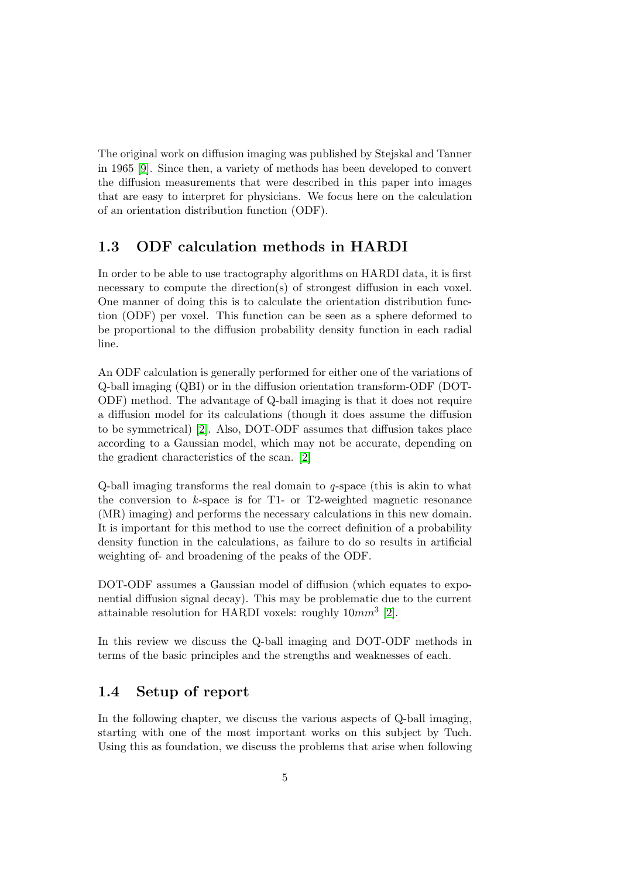The original work on diffusion imaging was published by Stejskal and Tanner in 1965 [\[9\]](#page-34-1). Since then, a variety of methods has been developed to convert the diffusion measurements that were described in this paper into images that are easy to interpret for physicians. We focus here on the calculation of an orientation distribution function (ODF).

### <span id="page-7-0"></span>1.3 ODF calculation methods in HARDI

In order to be able to use tractography algorithms on HARDI data, it is first necessary to compute the direction(s) of strongest diffusion in each voxel. One manner of doing this is to calculate the orientation distribution function (ODF) per voxel. This function can be seen as a sphere deformed to be proportional to the diffusion probability density function in each radial line.

An ODF calculation is generally performed for either one of the variations of Q-ball imaging (QBI) or in the diffusion orientation transform-ODF (DOT-ODF) method. The advantage of Q-ball imaging is that it does not require a diffusion model for its calculations (though it does assume the diffusion to be symmetrical) [\[2\]](#page-34-2). Also, DOT-ODF assumes that diffusion takes place according to a Gaussian model, which may not be accurate, depending on the gradient characteristics of the scan. [\[2\]](#page-34-2)

Q-ball imaging transforms the real domain to q-space (this is akin to what the conversion to  $k$ -space is for T1- or T2-weighted magnetic resonance (MR) imaging) and performs the necessary calculations in this new domain. It is important for this method to use the correct definition of a probability density function in the calculations, as failure to do so results in artificial weighting of- and broadening of the peaks of the ODF.

DOT-ODF assumes a Gaussian model of diffusion (which equates to exponential diffusion signal decay). This may be problematic due to the current attainable resolution for HARDI voxels: roughly  $10mm^3$  [\[2\]](#page-34-2).

In this review we discuss the Q-ball imaging and DOT-ODF methods in terms of the basic principles and the strengths and weaknesses of each.

# <span id="page-7-1"></span>1.4 Setup of report

In the following chapter, we discuss the various aspects of Q-ball imaging, starting with one of the most important works on this subject by Tuch. Using this as foundation, we discuss the problems that arise when following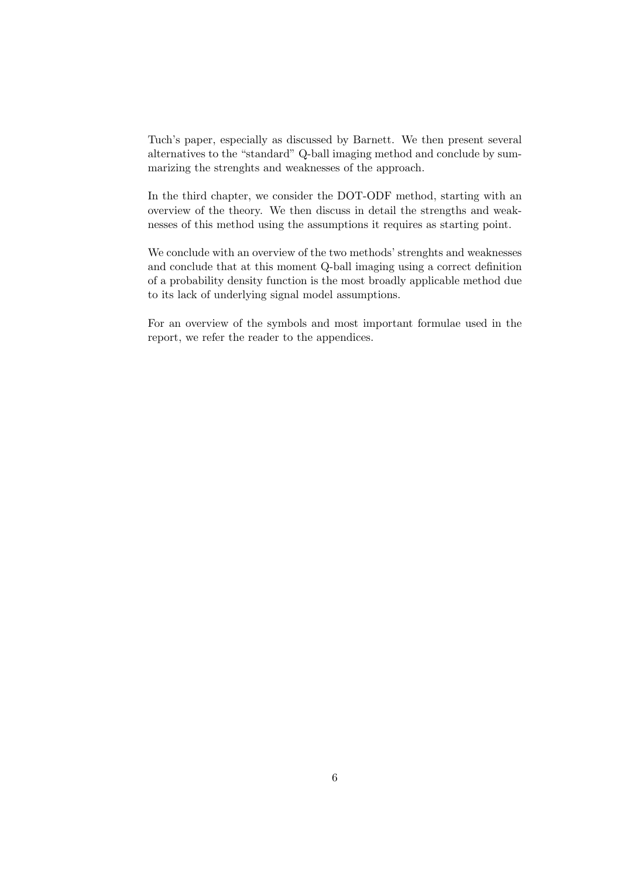Tuch's paper, especially as discussed by Barnett. We then present several alternatives to the "standard" Q-ball imaging method and conclude by summarizing the strenghts and weaknesses of the approach.

In the third chapter, we consider the DOT-ODF method, starting with an overview of the theory. We then discuss in detail the strengths and weaknesses of this method using the assumptions it requires as starting point.

We conclude with an overview of the two methods' strenghts and weaknesses and conclude that at this moment Q-ball imaging using a correct definition of a probability density function is the most broadly applicable method due to its lack of underlying signal model assumptions.

For an overview of the symbols and most important formulae used in the report, we refer the reader to the appendices.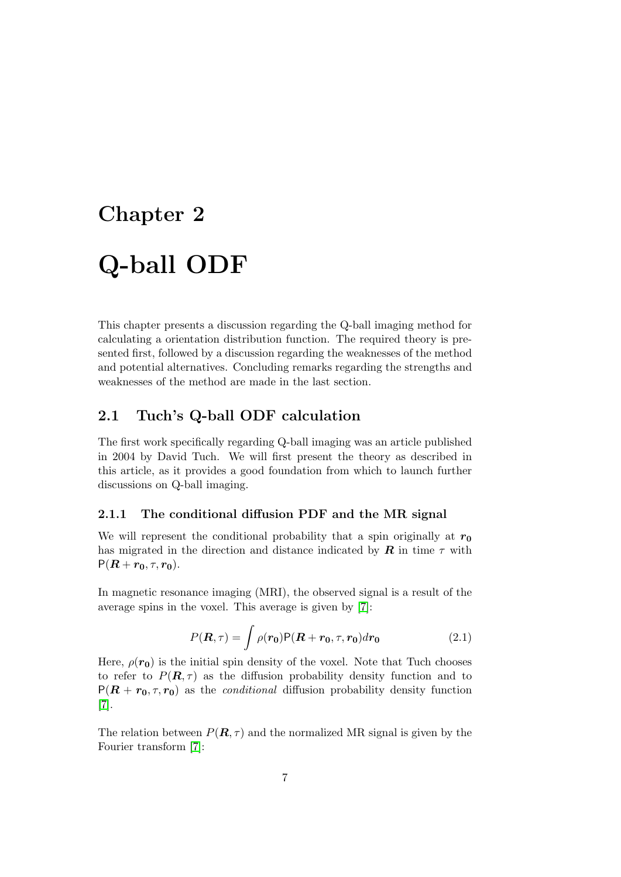# <span id="page-9-0"></span>Chapter 2 Q-ball ODF

This chapter presents a discussion regarding the Q-ball imaging method for calculating a orientation distribution function. The required theory is presented first, followed by a discussion regarding the weaknesses of the method and potential alternatives. Concluding remarks regarding the strengths and weaknesses of the method are made in the last section.

# <span id="page-9-1"></span>2.1 Tuch's Q-ball ODF calculation

The first work specifically regarding Q-ball imaging was an article published in 2004 by David Tuch. We will first present the theory as described in this article, as it provides a good foundation from which to launch further discussions on Q-ball imaging.

#### <span id="page-9-2"></span>2.1.1 The conditional diffusion PDF and the MR signal

We will represent the conditional probability that a spin originally at  $r_0$ has migrated in the direction and distance indicated by  $\boldsymbol{R}$  in time  $\tau$  with  $P(R + r_0, \tau, r_0)$ .

In magnetic resonance imaging (MRI), the observed signal is a result of the average spins in the voxel. This average is given by [\[7\]](#page-34-3):

$$
P(\mathbf{R},\tau) = \int \rho(\mathbf{r_0}) \mathsf{P}(\mathbf{R} + \mathbf{r_0}, \tau, \mathbf{r_0}) d\mathbf{r_0}
$$
 (2.1)

Here,  $\rho(\mathbf{r_0})$  is the initial spin density of the voxel. Note that Tuch chooses to refer to  $P(R, \tau)$  as the diffusion probability density function and to  $P(R + r_0, \tau, r_0)$  as the *conditional* diffusion probability density function [\[7\]](#page-34-3).

The relation between  $P(\mathbf{R}, \tau)$  and the normalized MR signal is given by the Fourier transform [\[7\]](#page-34-3):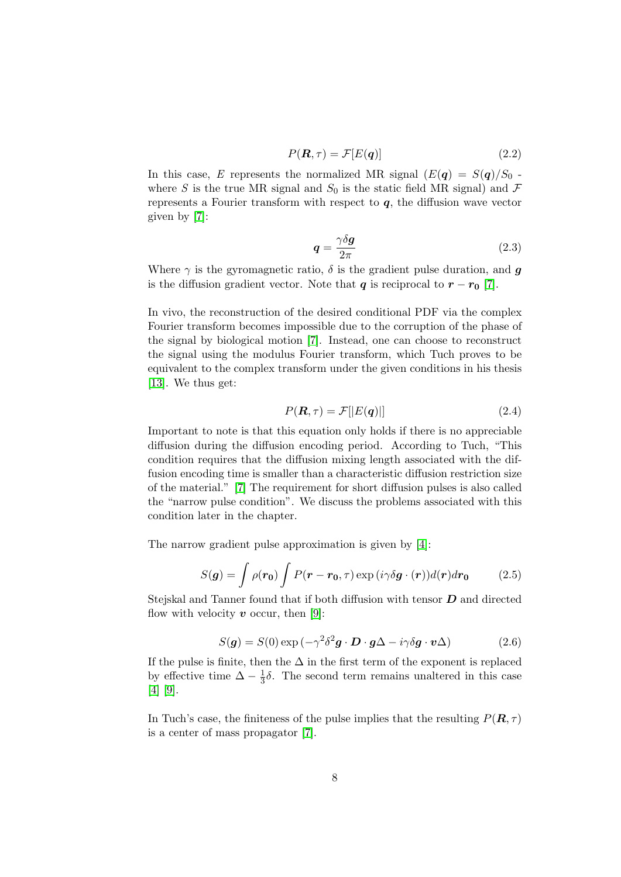$$
P(\mathbf{R}, \tau) = \mathcal{F}[E(\mathbf{q})]
$$
\n(2.2)

In this case, E represents the normalized MR signal  $(E(q) = S(q)/S_0$ . where S is the true MR signal and  $S_0$  is the static field MR signal) and  $\mathcal F$ represents a Fourier transform with respect to  $q$ , the diffusion wave vector given by [\[7\]](#page-34-3):

$$
q = \frac{\gamma \delta g}{2\pi} \tag{2.3}
$$

Where  $\gamma$  is the gyromagnetic ratio,  $\delta$  is the gradient pulse duration, and q is the diffusion gradient vector. Note that q is reciprocal to  $r - r_0$  [\[7\]](#page-34-3).

In vivo, the reconstruction of the desired conditional PDF via the complex Fourier transform becomes impossible due to the corruption of the phase of the signal by biological motion [\[7\]](#page-34-3). Instead, one can choose to reconstruct the signal using the modulus Fourier transform, which Tuch proves to be equivalent to the complex transform under the given conditions in his thesis [\[13\]](#page-35-0). We thus get:

$$
P(\mathbf{R}, \tau) = \mathcal{F}[|E(\mathbf{q})|] \tag{2.4}
$$

Important to note is that this equation only holds if there is no appreciable diffusion during the diffusion encoding period. According to Tuch, "This condition requires that the diffusion mixing length associated with the diffusion encoding time is smaller than a characteristic diffusion restriction size of the material." [\[7\]](#page-34-3) The requirement for short diffusion pulses is also called the "narrow pulse condition". We discuss the problems associated with this condition later in the chapter.

The narrow gradient pulse approximation is given by [\[4\]](#page-34-4):

$$
S(\boldsymbol{g}) = \int \rho(\boldsymbol{r_0}) \int P(\boldsymbol{r} - \boldsymbol{r_0}, \tau) \exp(i\gamma \delta \boldsymbol{g} \cdot (\boldsymbol{r})) d(\boldsymbol{r}) d\boldsymbol{r_0}
$$
(2.5)

Stejskal and Tanner found that if both diffusion with tensor  $D$  and directed flow with velocity  $v$  occur, then [\[9\]](#page-34-1):

$$
S(\boldsymbol{g}) = S(0) \exp\left(-\gamma^2 \delta^2 \boldsymbol{g} \cdot \boldsymbol{D} \cdot \boldsymbol{g} \Delta - i \gamma \delta \boldsymbol{g} \cdot \boldsymbol{v} \Delta\right)
$$
(2.6)

If the pulse is finite, then the  $\Delta$  in the first term of the exponent is replaced by effective time  $\Delta - \frac{1}{3}$  $\frac{1}{3}\delta$ . The second term remains unaltered in this case [\[4\]](#page-34-4) [\[9\]](#page-34-1).

In Tuch's case, the finiteness of the pulse implies that the resulting  $P(\mathbf{R}, \tau)$ is a center of mass propagator [\[7\]](#page-34-3).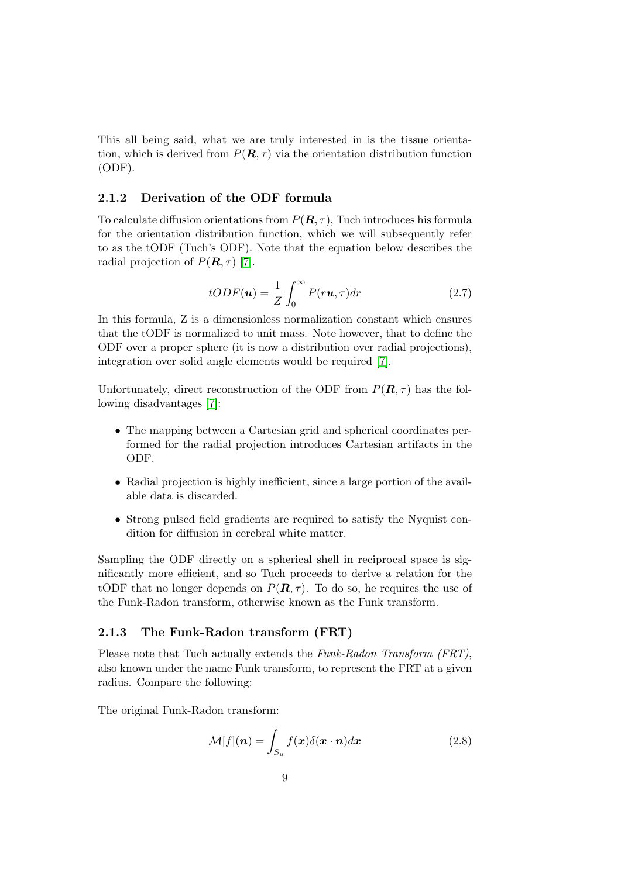This all being said, what we are truly interested in is the tissue orientation, which is derived from  $P(\mathbf{R}, \tau)$  via the orientation distribution function (ODF).

#### <span id="page-11-0"></span>2.1.2 Derivation of the ODF formula

To calculate diffusion orientations from  $P(\mathbf{R}, \tau)$ , Tuch introduces his formula for the orientation distribution function, which we will subsequently refer to as the tODF (Tuch's ODF). Note that the equation below describes the radial projection of  $P(\mathbf{R}, \tau)$  [\[7\]](#page-34-3).

$$
tODF(\mathbf{u}) = \frac{1}{Z} \int_0^\infty P(r\mathbf{u}, \tau) dr \tag{2.7}
$$

In this formula, Z is a dimensionless normalization constant which ensures that the tODF is normalized to unit mass. Note however, that to define the ODF over a proper sphere (it is now a distribution over radial projections), integration over solid angle elements would be required [\[7\]](#page-34-3).

Unfortunately, direct reconstruction of the ODF from  $P(\mathbf{R}, \tau)$  has the following disadvantages [\[7\]](#page-34-3):

- The mapping between a Cartesian grid and spherical coordinates performed for the radial projection introduces Cartesian artifacts in the ODF.
- Radial projection is highly inefficient, since a large portion of the available data is discarded.
- Strong pulsed field gradients are required to satisfy the Nyquist condition for diffusion in cerebral white matter.

Sampling the ODF directly on a spherical shell in reciprocal space is significantly more efficient, and so Tuch proceeds to derive a relation for the tODF that no longer depends on  $P(\mathbf{R}, \tau)$ . To do so, he requires the use of the Funk-Radon transform, otherwise known as the Funk transform.

#### <span id="page-11-1"></span>2.1.3 The Funk-Radon transform (FRT)

Please note that Tuch actually extends the Funk-Radon Transform (FRT), also known under the name Funk transform, to represent the FRT at a given radius. Compare the following:

The original Funk-Radon transform:

$$
\mathcal{M}[f](\boldsymbol{n}) = \int_{S_u} f(\boldsymbol{x}) \delta(\boldsymbol{x} \cdot \boldsymbol{n}) d\boldsymbol{x}
$$
 (2.8)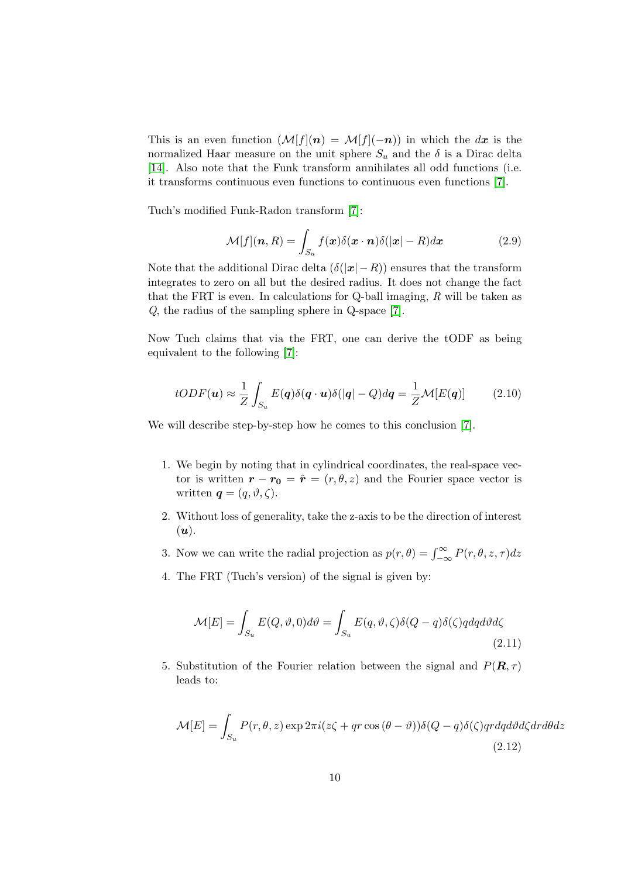This is an even function  $(\mathcal{M}[f](n) = \mathcal{M}[f](-n))$  in which the dx is the normalized Haar measure on the unit sphere  $S_u$  and the  $\delta$  is a Dirac delta [\[14\]](#page-35-1). Also note that the Funk transform annihilates all odd functions (i.e. it transforms continuous even functions to continuous even functions [\[7\]](#page-34-3).

Tuch's modified Funk-Radon transform [\[7\]](#page-34-3):

$$
\mathcal{M}[f](\boldsymbol{n},R) = \int_{S_u} f(\boldsymbol{x}) \delta(\boldsymbol{x} \cdot \boldsymbol{n}) \delta(|\boldsymbol{x}| - R) d\boldsymbol{x}
$$
 (2.9)

Note that the additional Dirac delta  $(\delta(|x|-R))$  ensures that the transform integrates to zero on all but the desired radius. It does not change the fact that the FRT is even. In calculations for Q-ball imaging,  $R$  will be taken as Q, the radius of the sampling sphere in Q-space [\[7\]](#page-34-3).

Now Tuch claims that via the FRT, one can derive the tODF as being equivalent to the following [\[7\]](#page-34-3):

$$
tODF(\mathbf{u}) \approx \frac{1}{Z} \int_{S_u} E(\mathbf{q}) \delta(\mathbf{q} \cdot \mathbf{u}) \delta(|\mathbf{q}| - Q) d\mathbf{q} = \frac{1}{Z} \mathcal{M}[E(\mathbf{q})]
$$
(2.10)

We will describe step-by-step how he comes to this conclusion [\[7\]](#page-34-3).

- 1. We begin by noting that in cylindrical coordinates, the real-space vector is written  $\mathbf{r} - \mathbf{r_0} = \hat{\mathbf{r}} = (r, \theta, z)$  and the Fourier space vector is written  $\mathbf{q} = (q, \vartheta, \zeta)$ .
- 2. Without loss of generality, take the z-axis to be the direction of interest  $(u).$
- 3. Now we can write the radial projection as  $p(r, \theta) = \int_{-\infty}^{\infty} P(r, \theta, z, \tau) dz$
- 4. The FRT (Tuch's version) of the signal is given by:

$$
\mathcal{M}[E] = \int_{S_u} E(Q, \vartheta, 0) d\vartheta = \int_{S_u} E(q, \vartheta, \zeta) \delta(Q - q) \delta(\zeta) q dq d\vartheta d\zeta
$$
\n(2.11)

5. Substitution of the Fourier relation between the signal and  $P(\mathbf{R}, \tau)$ leads to:

$$
\mathcal{M}[E] = \int_{S_u} P(r,\theta,z) \exp 2\pi i (z\zeta + qr \cos (\theta - \vartheta)) \delta(Q - q) \delta(\zeta)qr dq d\vartheta d\zeta dr d\theta dz
$$
\n(2.12)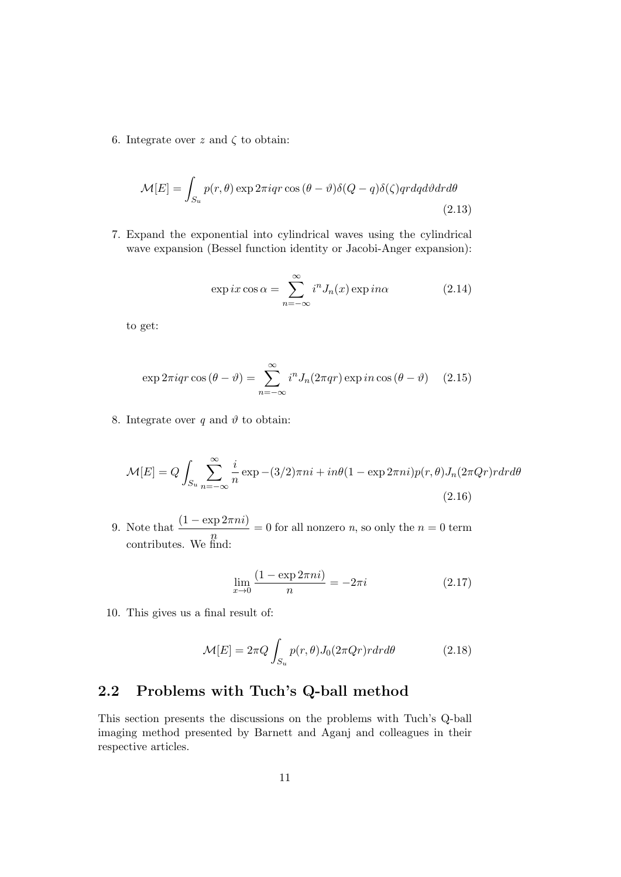6. Integrate over z and  $\zeta$  to obtain:

$$
\mathcal{M}[E] = \int_{S_u} p(r,\theta) \exp 2\pi iqr \cos (\theta - \vartheta) \delta(Q - q) \delta(\zeta)qr dq d\vartheta dr d\theta
$$
\n(2.13)

7. Expand the exponential into cylindrical waves using the cylindrical wave expansion (Bessel function identity or Jacobi-Anger expansion):

$$
\exp ix \cos \alpha = \sum_{n=-\infty}^{\infty} i^n J_n(x) \exp in\alpha \tag{2.14}
$$

to get:

$$
\exp 2\pi i q r \cos (\theta - \vartheta) = \sum_{n = -\infty}^{\infty} i^n J_n(2\pi q r) \exp in \cos (\theta - \vartheta) \quad (2.15)
$$

8. Integrate over q and  $\vartheta$  to obtain:

$$
\mathcal{M}[E] = Q \int_{S_u} \sum_{n=-\infty}^{\infty} \frac{i}{n} \exp(-\frac{3}{2})\pi n i + i n \theta (1 - \exp 2\pi n i) p(r, \theta) J_n(2\pi Qr) r dr d\theta
$$
\n(2.16)

9. Note that  $\frac{(1 - \exp 2\pi n i)}{n} = 0$  for all nonzero *n*, so only the  $n = 0$  term contributes. We find:

$$
\lim_{x \to 0} \frac{(1 - \exp 2\pi n i)}{n} = -2\pi i \tag{2.17}
$$

10. This gives us a final result of:

$$
\mathcal{M}[E] = 2\pi Q \int_{S_u} p(r,\theta) J_0(2\pi Qr) r dr d\theta \qquad (2.18)
$$

### <span id="page-13-0"></span>2.2 Problems with Tuch's Q-ball method

This section presents the discussions on the problems with Tuch's Q-ball imaging method presented by Barnett and Aganj and colleagues in their respective articles.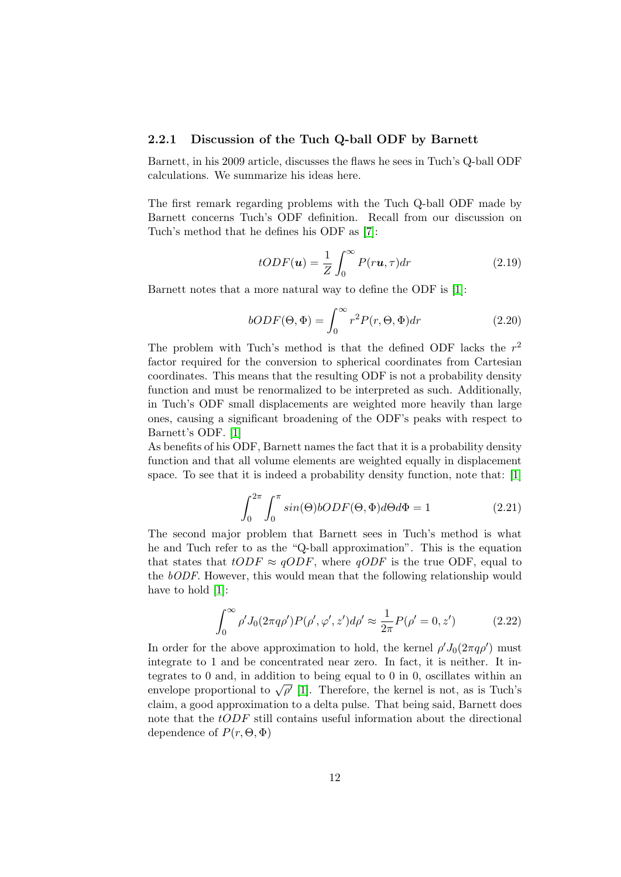#### <span id="page-14-0"></span>2.2.1 Discussion of the Tuch Q-ball ODF by Barnett

Barnett, in his 2009 article, discusses the flaws he sees in Tuch's Q-ball ODF calculations. We summarize his ideas here.

The first remark regarding problems with the Tuch Q-ball ODF made by Barnett concerns Tuch's ODF definition. Recall from our discussion on Tuch's method that he defines his ODF as [\[7\]](#page-34-3):

$$
tODF(\mathbf{u}) = \frac{1}{Z} \int_0^\infty P(r\mathbf{u}, \tau) dr \tag{2.19}
$$

Barnett notes that a more natural way to define the ODF is [\[1\]](#page-34-5):

$$
bODF(\Theta, \Phi) = \int_0^\infty r^2 P(r, \Theta, \Phi) dr \qquad (2.20)
$$

The problem with Tuch's method is that the defined ODF lacks the  $r^2$ factor required for the conversion to spherical coordinates from Cartesian coordinates. This means that the resulting ODF is not a probability density function and must be renormalized to be interpreted as such. Additionally, in Tuch's ODF small displacements are weighted more heavily than large ones, causing a significant broadening of the ODF's peaks with respect to Barnett's ODF. [\[1\]](#page-34-5)

As benefits of his ODF, Barnett names the fact that it is a probability density function and that all volume elements are weighted equally in displacement space. To see that it is indeed a probability density function, note that: [\[1\]](#page-34-5)

$$
\int_0^{2\pi} \int_0^{\pi} \sin(\Theta) \, bODF(\Theta, \Phi) \, d\Theta \, d\Phi = 1 \tag{2.21}
$$

The second major problem that Barnett sees in Tuch's method is what he and Tuch refer to as the "Q-ball approximation". This is the equation that states that  $tODF \approx qODF$ , where  $qODF$  is the true ODF, equal to the bODF. However, this would mean that the following relationship would have to hold [\[1\]](#page-34-5):

$$
\int_0^\infty \rho' J_0(2\pi q \rho') P(\rho', \varphi', z') d\rho' \approx \frac{1}{2\pi} P(\rho' = 0, z')
$$
 (2.22)

In order for the above approximation to hold, the kernel  $\rho' J_0(2\pi q \rho')$  must integrate to 1 and be concentrated near zero. In fact, it is neither. It integrates to 0 and, in addition to being equal to 0 in 0, oscillates within an begrates to 0 and, in addition to being equal to 0 in 0, oscillates within all envelope proportional to  $\sqrt{\rho'}$  [\[1\]](#page-34-5). Therefore, the kernel is not, as is Tuch's claim, a good approximation to a delta pulse. That being said, Barnett does note that the tODF still contains useful information about the directional dependence of  $P(r, \Theta, \Phi)$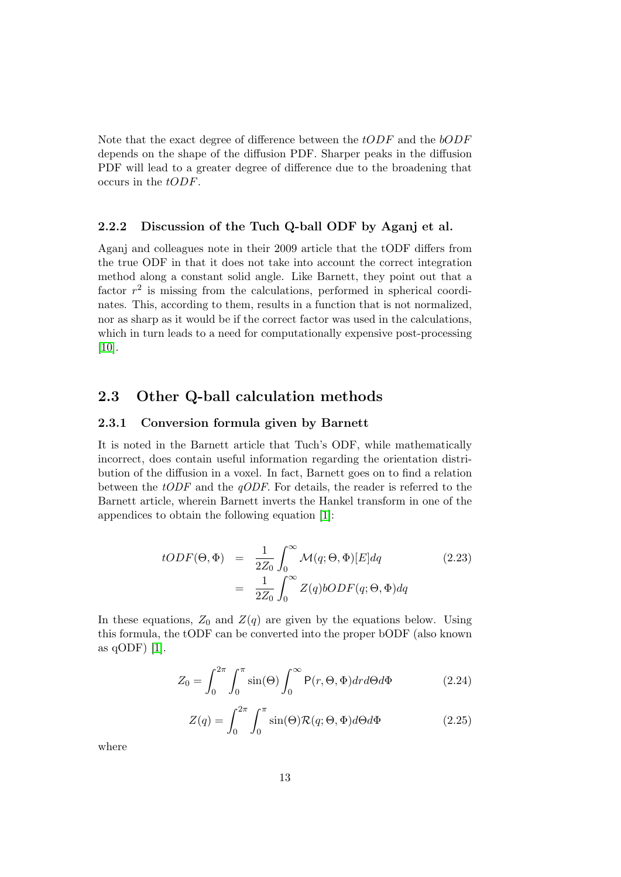Note that the exact degree of difference between the tODF and the bODF depends on the shape of the diffusion PDF. Sharper peaks in the diffusion PDF will lead to a greater degree of difference due to the broadening that occurs in the tODF.

#### <span id="page-15-0"></span>2.2.2 Discussion of the Tuch Q-ball ODF by Aganj et al.

Aganj and colleagues note in their 2009 article that the tODF differs from the true ODF in that it does not take into account the correct integration method along a constant solid angle. Like Barnett, they point out that a factor  $r^2$  is missing from the calculations, performed in spherical coordinates. This, according to them, results in a function that is not normalized, nor as sharp as it would be if the correct factor was used in the calculations, which in turn leads to a need for computationally expensive post-processing [\[10\]](#page-34-6).

### <span id="page-15-1"></span>2.3 Other Q-ball calculation methods

#### <span id="page-15-2"></span>2.3.1 Conversion formula given by Barnett

It is noted in the Barnett article that Tuch's ODF, while mathematically incorrect, does contain useful information regarding the orientation distribution of the diffusion in a voxel. In fact, Barnett goes on to find a relation between the *tODF* and the *qODF*. For details, the reader is referred to the Barnett article, wherein Barnett inverts the Hankel transform in one of the appendices to obtain the following equation [\[1\]](#page-34-5):

$$
tODF(\Theta, \Phi) = \frac{1}{2Z_0} \int_0^\infty \mathcal{M}(q; \Theta, \Phi)[E]dq
$$
\n
$$
= \frac{1}{2Z_0} \int_0^\infty Z(q) bODF(q; \Theta, \Phi)dq
$$
\n(2.23)

In these equations,  $Z_0$  and  $Z(q)$  are given by the equations below. Using this formula, the tODF can be converted into the proper bODF (also known as qODF) [\[1\]](#page-34-5).

$$
Z_0 = \int_0^{2\pi} \int_0^{\pi} \sin(\Theta) \int_0^{\infty} P(r, \Theta, \Phi) dr d\Theta d\Phi \qquad (2.24)
$$

$$
Z(q) = \int_0^{2\pi} \int_0^{\pi} \sin(\Theta) \mathcal{R}(q; \Theta, \Phi) d\Theta d\Phi \qquad (2.25)
$$

where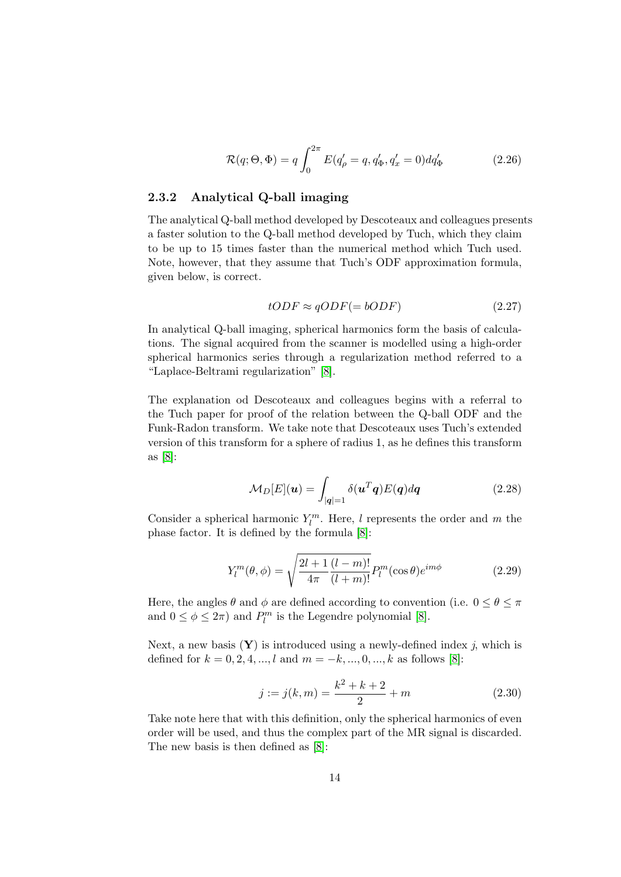$$
\mathcal{R}(q; \Theta, \Phi) = q \int_0^{2\pi} E(q'_\rho = q, q'_\Phi, q'_x = 0) dq'_\Phi \qquad (2.26)
$$

#### <span id="page-16-0"></span>2.3.2 Analytical Q-ball imaging

The analytical Q-ball method developed by Descoteaux and colleagues presents a faster solution to the Q-ball method developed by Tuch, which they claim to be up to 15 times faster than the numerical method which Tuch used. Note, however, that they assume that Tuch's ODF approximation formula, given below, is correct.

$$
tODF \approx qODF (= bODF) \tag{2.27}
$$

In analytical Q-ball imaging, spherical harmonics form the basis of calculations. The signal acquired from the scanner is modelled using a high-order spherical harmonics series through a regularization method referred to a "Laplace-Beltrami regularization" [\[8\]](#page-34-7).

The explanation od Descoteaux and colleagues begins with a referral to the Tuch paper for proof of the relation between the Q-ball ODF and the Funk-Radon transform. We take note that Descoteaux uses Tuch's extended version of this transform for a sphere of radius 1, as he defines this transform as [\[8\]](#page-34-7):

$$
\mathcal{M}_D[E](\boldsymbol{u}) = \int_{|\boldsymbol{q}|=1} \delta(\boldsymbol{u}^T \boldsymbol{q}) E(\boldsymbol{q}) d\boldsymbol{q}
$$
 (2.28)

Consider a spherical harmonic  $Y_l^m$ . Here, l represents the order and m the phase factor. It is defined by the formula [\[8\]](#page-34-7):

$$
Y_{l}^{m}(\theta,\phi) = \sqrt{\frac{2l+1}{4\pi} \frac{(l-m)!}{(l+m)!}} P_{l}^{m}(\cos\theta)e^{im\phi}
$$
 (2.29)

Here, the angles  $\theta$  and  $\phi$  are defined according to convention (i.e.  $0 \le \theta \le \pi$ and  $0 \le \phi \le 2\pi$ ) and  $P_l^m$  is the Legendre polynomial [\[8\]](#page-34-7).

Next, a new basis  $(Y)$  is introduced using a newly-defined index j, which is defined for  $k = 0, 2, 4, ..., l$  and  $m = -k, ..., 0, ..., k$  as follows [\[8\]](#page-34-7):

$$
j := j(k, m) = \frac{k^2 + k + 2}{2} + m \tag{2.30}
$$

Take note here that with this definition, only the spherical harmonics of even order will be used, and thus the complex part of the MR signal is discarded. The new basis is then defined as [\[8\]](#page-34-7):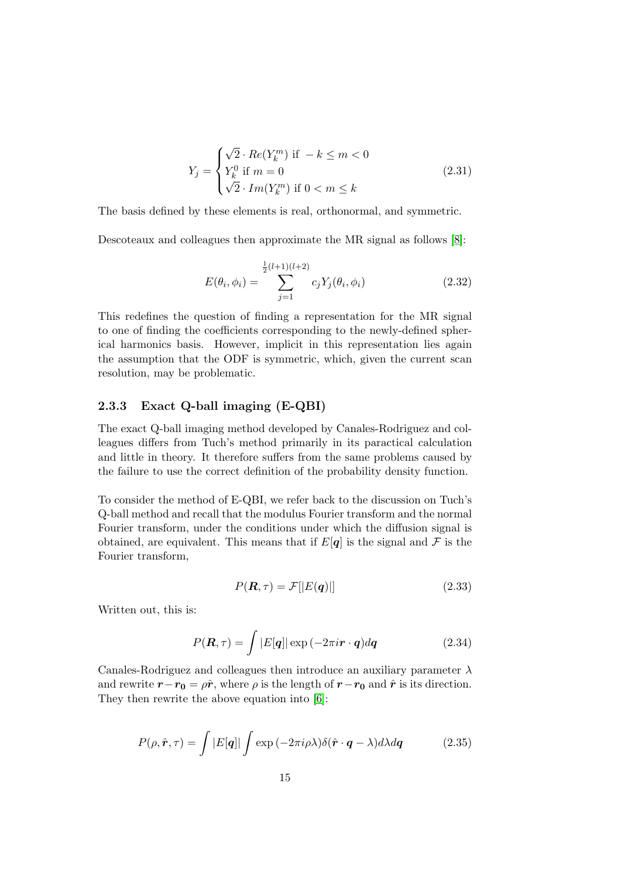$$
Y_j = \begin{cases} \sqrt{2} \cdot Re(Y_k^m) \text{ if } -k \le m < 0\\ Y_k^0 \text{ if } m = 0\\ \sqrt{2} \cdot Im(Y_k^m) \text{ if } 0 < m \le k \end{cases} \tag{2.31}
$$

The basis defined by these elements is real, orthonormal, and symmetric.

Descoteaux and colleagues then approximate the MR signal as follows [\[8\]](#page-34-7):

$$
E(\theta_i, \phi_i) = \sum_{j=1}^{\frac{1}{2}(l+1)(l+2)} c_j Y_j(\theta_i, \phi_i)
$$
 (2.32)

This redefines the question of finding a representation for the MR signal to one of finding the coefficients corresponding to the newly-defined spherical harmonics basis. However, implicit in this representation lies again the assumption that the ODF is symmetric, which, given the current scan resolution, may be problematic.

#### <span id="page-17-0"></span>2.3.3 Exact Q-ball imaging (E-QBI)

The exact Q-ball imaging method developed by Canales-Rodriguez and colleagues differs from Tuch's method primarily in its paractical calculation and little in theory. It therefore suffers from the same problems caused by the failure to use the correct definition of the probability density function.

To consider the method of E-QBI, we refer back to the discussion on Tuch's Q-ball method and recall that the modulus Fourier transform and the normal Fourier transform, under the conditions under which the diffusion signal is obtained, are equivalent. This means that if  $E[q]$  is the signal and  $\mathcal F$  is the Fourier transform,

$$
P(\mathbf{R}, \tau) = \mathcal{F}||E(\mathbf{q})||\tag{2.33}
$$

Written out, this is:

$$
P(\mathbf{R}, \tau) = \int |E[\mathbf{q}]| \exp(-2\pi i \mathbf{r} \cdot \mathbf{q}) d\mathbf{q}
$$
 (2.34)

Canales-Rodriguez and colleagues then introduce an auxiliary parameter  $\lambda$ and rewrite  $r-r_0 = \rho \hat{r}$ , where  $\rho$  is the length of  $r-r_0$  and  $\hat{r}$  is its direction. They then rewrite the above equation into [\[6\]](#page-34-8):

$$
P(\rho, \hat{\mathbf{r}}, \tau) = \int |E[\mathbf{q}]| \int \exp(-2\pi i \rho \lambda) \delta(\hat{\mathbf{r}} \cdot \mathbf{q} - \lambda) d\lambda d\mathbf{q}
$$
 (2.35)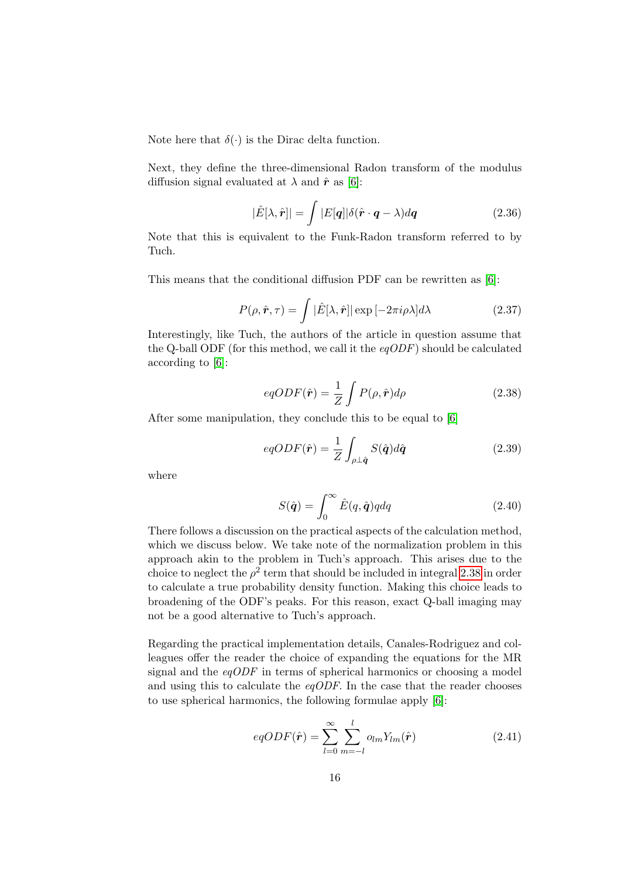Note here that  $\delta(\cdot)$  is the Dirac delta function.

Next, they define the three-dimensional Radon transform of the modulus diffusion signal evaluated at  $\lambda$  and  $\hat{r}$  as [\[6\]](#page-34-8):

$$
|\hat{E}[\lambda, \hat{r}]| = \int |E[q]| \delta(\hat{r} \cdot q - \lambda) dq \qquad (2.36)
$$

Note that this is equivalent to the Funk-Radon transform referred to by Tuch.

This means that the conditional diffusion PDF can be rewritten as [\[6\]](#page-34-8):

$$
P(\rho, \hat{\mathbf{r}}, \tau) = \int |\hat{E}[\lambda, \hat{\mathbf{r}}]| \exp[-2\pi i \rho \lambda] d\lambda \qquad (2.37)
$$

Interestingly, like Tuch, the authors of the article in question assume that the Q-ball ODF (for this method, we call it the  $eq$ ODF) should be calculated according to [\[6\]](#page-34-8):

<span id="page-18-0"></span>
$$
eqODF(\hat{r}) = \frac{1}{Z} \int P(\rho, \hat{r}) d\rho \qquad (2.38)
$$

After some manipulation, they conclude this to be equal to [\[6\]](#page-34-8)

$$
eqODF(\hat{r}) = \frac{1}{Z} \int_{\rho \perp \hat{q}} S(\hat{q}) d\hat{q}
$$
 (2.39)

where

$$
S(\hat{\boldsymbol{q}}) = \int_0^\infty \hat{E}(q, \hat{\boldsymbol{q}}) q dq
$$
\n(2.40)

There follows a discussion on the practical aspects of the calculation method, which we discuss below. We take note of the normalization problem in this approach akin to the problem in Tuch's approach. This arises due to the choice to neglect the  $\rho^2$  term that should be included in integral [2.38](#page-18-0) in order to calculate a true probability density function. Making this choice leads to broadening of the ODF's peaks. For this reason, exact Q-ball imaging may not be a good alternative to Tuch's approach.

Regarding the practical implementation details, Canales-Rodriguez and colleagues offer the reader the choice of expanding the equations for the MR signal and the  $eqODF$  in terms of spherical harmonics or choosing a model and using this to calculate the  $eqODF$ . In the case that the reader chooses to use spherical harmonics, the following formulae apply [\[6\]](#page-34-8):

$$
eqODF(\hat{\boldsymbol{r}}) = \sum_{l=0}^{\infty} \sum_{m=-l}^{l} o_{lm} Y_{lm}(\hat{\boldsymbol{r}})
$$
\n(2.41)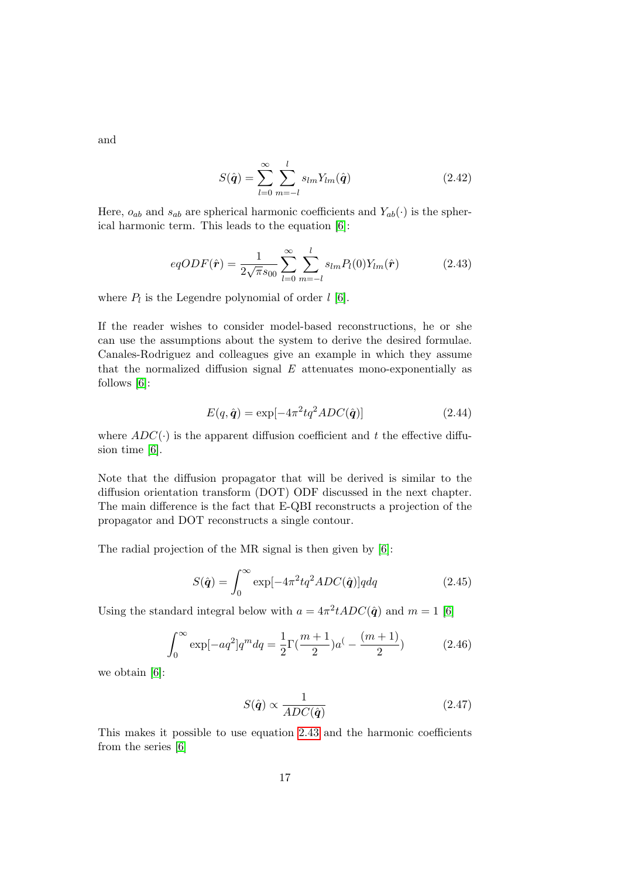and

$$
S(\hat{\boldsymbol{q}}) = \sum_{l=0}^{\infty} \sum_{m=-l}^{l} s_{lm} Y_{lm}(\hat{\boldsymbol{q}})
$$
\n(2.42)

Here,  $o_{ab}$  and  $s_{ab}$  are spherical harmonic coefficients and  $Y_{ab}(\cdot)$  is the spherical harmonic term. This leads to the equation [\[6\]](#page-34-8):

<span id="page-19-0"></span>
$$
eqODF(\hat{r}) = \frac{1}{2\sqrt{\pi}s_{00}} \sum_{l=0}^{\infty} \sum_{m=-l}^{l} s_{lm} P_l(0) Y_{lm}(\hat{r})
$$
(2.43)

where  $P_l$  is the Legendre polynomial of order  $l$  [\[6\]](#page-34-8).

If the reader wishes to consider model-based reconstructions, he or she can use the assumptions about the system to derive the desired formulae. Canales-Rodriguez and colleagues give an example in which they assume that the normalized diffusion signal  $E$  attenuates mono-exponentially as follows [\[6\]](#page-34-8):

$$
E(q, \hat{q}) = \exp[-4\pi^2 t q^2 ADC(\hat{q})]
$$
\n(2.44)

where  $ADC(\cdot)$  is the apparent diffusion coefficient and t the effective diffusion time [\[6\]](#page-34-8).

Note that the diffusion propagator that will be derived is similar to the diffusion orientation transform (DOT) ODF discussed in the next chapter. The main difference is the fact that E-QBI reconstructs a projection of the propagator and DOT reconstructs a single contour.

The radial projection of the MR signal is then given by [\[6\]](#page-34-8):

$$
S(\hat{\boldsymbol{q}}) = \int_0^\infty \exp[-4\pi^2 t q^2 ADC(\hat{\boldsymbol{q}})] q dq \qquad (2.45)
$$

Using the standard integral below with  $a = 4\pi^2 t ADC(\hat{q})$  and  $m = 1$  [\[6\]](#page-34-8)

$$
\int_0^\infty \exp[-aq^2]q^m dq = \frac{1}{2}\Gamma(\frac{m+1}{2})a^(-\frac{(m+1)}{2})\tag{2.46}
$$

we obtain [\[6\]](#page-34-8):

$$
S(\hat{\mathbf{q}}) \propto \frac{1}{ADC(\hat{\mathbf{q}})}\tag{2.47}
$$

This makes it possible to use equation [2.43](#page-19-0) and the harmonic coefficients from the series [\[6\]](#page-34-8)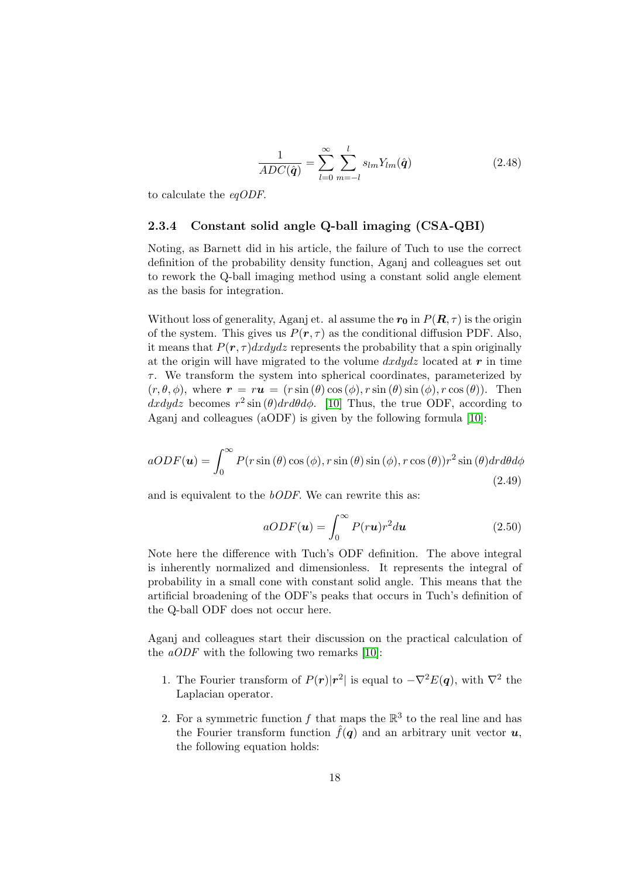$$
\frac{1}{ADC(\hat{\boldsymbol{q}})} = \sum_{l=0}^{\infty} \sum_{m=-l}^{l} s_{lm} Y_{lm}(\hat{\boldsymbol{q}})
$$
(2.48)

to calculate the eqODF.

#### <span id="page-20-0"></span>2.3.4 Constant solid angle Q-ball imaging (CSA-QBI)

Noting, as Barnett did in his article, the failure of Tuch to use the correct definition of the probability density function, Aganj and colleagues set out to rework the Q-ball imaging method using a constant solid angle element as the basis for integration.

Without loss of generality, Aganj et. al assume the  $r_0$  in  $P(R, \tau)$  is the origin of the system. This gives us  $P(r, \tau)$  as the conditional diffusion PDF. Also, it means that  $P(r, \tau)dxdydz$  represents the probability that a spin originally at the origin will have migrated to the volume  $dxdydz$  located at r in time  $\tau$ . We transform the system into spherical coordinates, parameterized by  $(r, \theta, \phi)$ , where  $\mathbf{r} = r\mathbf{u} = (r \sin(\theta) \cos(\phi), r \sin(\theta) \sin(\phi), r \cos(\theta))$ . Then  $dxdydz$  becomes  $r^2 \sin(\theta) dr d\theta d\phi$ . [\[10\]](#page-34-6) Thus, the true ODF, according to Aganj and colleagues (aODF) is given by the following formula [\[10\]](#page-34-6):

$$
aODF(\mathbf{u}) = \int_0^\infty P(r\sin(\theta)\cos(\phi), r\sin(\theta)\sin(\phi), r\cos(\theta))r^2\sin(\theta)d\theta d\phi
$$
\n(2.49)

and is equivalent to the bODF. We can rewrite this as:

$$
aODF(\mathbf{u}) = \int_0^\infty P(r\mathbf{u})r^2 d\mathbf{u}
$$
 (2.50)

Note here the difference with Tuch's ODF definition. The above integral is inherently normalized and dimensionless. It represents the integral of probability in a small cone with constant solid angle. This means that the artificial broadening of the ODF's peaks that occurs in Tuch's definition of the Q-ball ODF does not occur here.

Aganj and colleagues start their discussion on the practical calculation of the *aODF* with the following two remarks [\[10\]](#page-34-6):

- 1. The Fourier transform of  $P(r)|r^2|$  is equal to  $-\nabla^2 E(q)$ , with  $\nabla^2$  the Laplacian operator.
- 2. For a symmetric function f that maps the  $\mathbb{R}^3$  to the real line and has the Fourier transform function  $\hat{f}(q)$  and an arbitrary unit vector  $u$ , the following equation holds: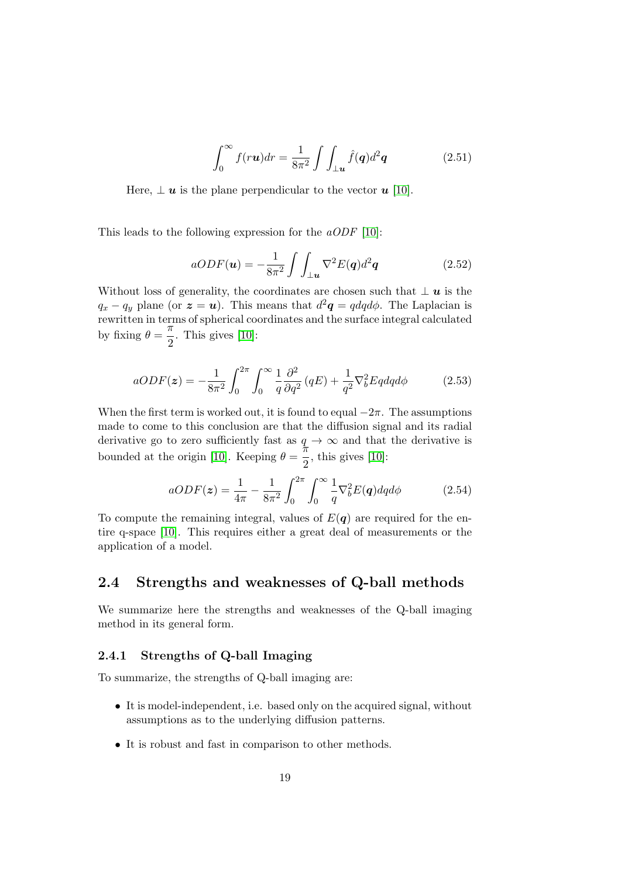$$
\int_0^\infty f(r\mathbf{u})dr = \frac{1}{8\pi^2} \int \int_{\perp \mathbf{u}} \hat{f}(\mathbf{q})d^2\mathbf{q}
$$
 (2.51)

Here,  $\perp u$  is the plane perpendicular to the vector u [\[10\]](#page-34-6).

This leads to the following expression for the  $aODF$  [\[10\]](#page-34-6):

$$
aODF(\mathbf{u}) = -\frac{1}{8\pi^2} \int \int_{\perp \mathbf{u}} \nabla^2 E(\mathbf{q}) d^2 \mathbf{q}
$$
 (2.52)

Without loss of generality, the coordinates are chosen such that  $\perp \mathbf{u}$  is the  $q_x - q_y$  plane (or  $\boldsymbol{z} = \boldsymbol{u}$ ). This means that  $d^2\boldsymbol{q} = q dq d\phi$ . The Laplacian is rewritten in terms of spherical coordinates and the surface integral calculated by fixing  $\theta = \frac{\pi}{6}$  $\frac{\pi}{2}$ . This gives [\[10\]](#page-34-6):

$$
aODF(z) = -\frac{1}{8\pi^2} \int_0^{2\pi} \int_0^{\infty} \frac{1}{q} \frac{\partial^2}{\partial q^2} (qE) + \frac{1}{q^2} \nabla_b^2 Eqdq d\phi \tag{2.53}
$$

When the first term is worked out, it is found to equal  $-2\pi$ . The assumptions made to come to this conclusion are that the diffusion signal and its radial derivative go to zero sufficiently fast as  $q \to \infty$  and that the derivative is bounded at the origin [\[10\]](#page-34-6). Keeping  $\theta = \frac{7\pi}{8}$  $\frac{\pi}{2}$ , this gives [\[10\]](#page-34-6):

$$
aODF(z) = \frac{1}{4\pi} - \frac{1}{8\pi^2} \int_0^{2\pi} \int_0^{\infty} \frac{1}{q} \nabla_b^2 E(q) dq d\phi \qquad (2.54)
$$

To compute the remaining integral, values of  $E(q)$  are required for the entire q-space [\[10\]](#page-34-6). This requires either a great deal of measurements or the application of a model.

### <span id="page-21-0"></span>2.4 Strengths and weaknesses of Q-ball methods

We summarize here the strengths and weaknesses of the Q-ball imaging method in its general form.

#### <span id="page-21-1"></span>2.4.1 Strengths of Q-ball Imaging

To summarize, the strengths of Q-ball imaging are:

- It is model-independent, i.e. based only on the acquired signal, without assumptions as to the underlying diffusion patterns.
- It is robust and fast in comparison to other methods.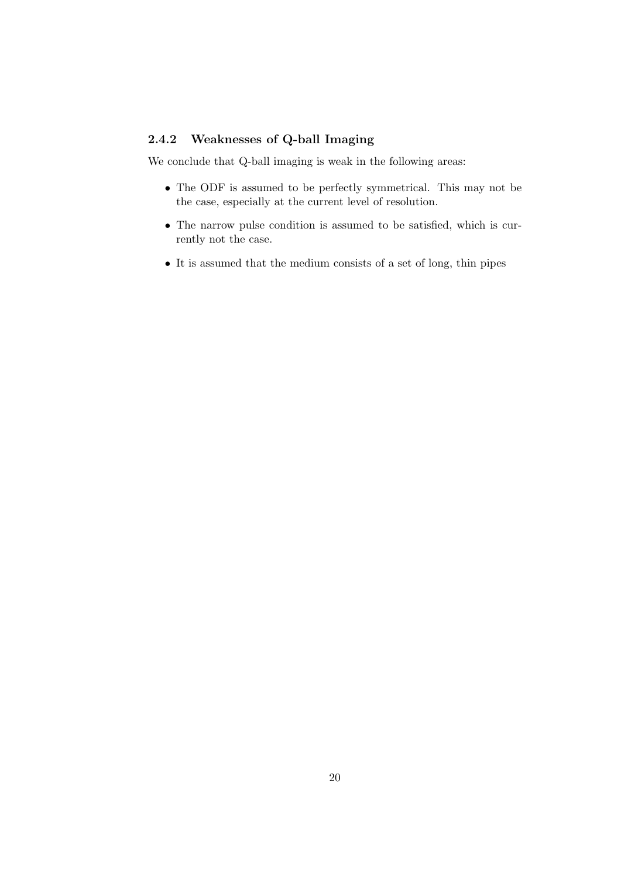### <span id="page-22-0"></span>2.4.2 Weaknesses of Q-ball Imaging

We conclude that Q-ball imaging is weak in the following areas:

- The ODF is assumed to be perfectly symmetrical. This may not be the case, especially at the current level of resolution.
- The narrow pulse condition is assumed to be satisfied, which is currently not the case.
- It is assumed that the medium consists of a set of long, thin pipes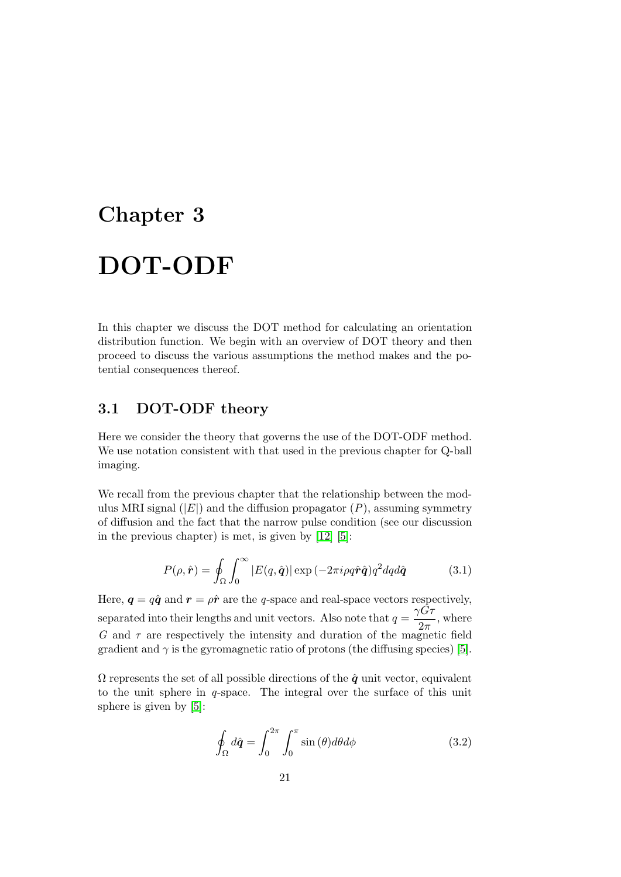# <span id="page-23-0"></span>Chapter 3 DOT-ODF

In this chapter we discuss the DOT method for calculating an orientation distribution function. We begin with an overview of DOT theory and then proceed to discuss the various assumptions the method makes and the potential consequences thereof.

### <span id="page-23-1"></span>3.1 DOT-ODF theory

Here we consider the theory that governs the use of the DOT-ODF method. We use notation consistent with that used in the previous chapter for Q-ball imaging.

We recall from the previous chapter that the relationship between the modulus MRI signal  $(|E|)$  and the diffusion propagator  $(P)$ , assuming symmetry of diffusion and the fact that the narrow pulse condition (see our discussion in the previous chapter) is met, is given by [\[12\]](#page-35-2) [\[5\]](#page-34-9):

$$
P(\rho, \hat{\boldsymbol{r}}) = \oint_{\Omega} \int_0^{\infty} |E(q, \hat{\boldsymbol{q}})| \exp(-2\pi i \rho q \hat{\boldsymbol{r}} \hat{\boldsymbol{q}}) q^2 dq d\hat{\boldsymbol{q}} \qquad (3.1)
$$

Here,  $q = q\hat{q}$  and  $r = \rho\hat{r}$  are the q-space and real-space vectors respectively, separated into their lengths and unit vectors. Also note that  $q = \frac{\gamma \hat{G} \tau}{2}$  $\frac{a}{2\pi}$ , where G and  $\tau$  are respectively the intensity and duration of the magnetic field gradient and  $\gamma$  is the gyromagnetic ratio of protons (the diffusing species) [\[5\]](#page-34-9).

 $\Omega$  represents the set of all possible directions of the  $\hat{q}$  unit vector, equivalent to the unit sphere in q-space. The integral over the surface of this unit sphere is given by [\[5\]](#page-34-9):

$$
\oint_{\Omega} d\hat{\mathbf{q}} = \int_{0}^{2\pi} \int_{0}^{\pi} \sin(\theta) d\theta d\phi \qquad (3.2)
$$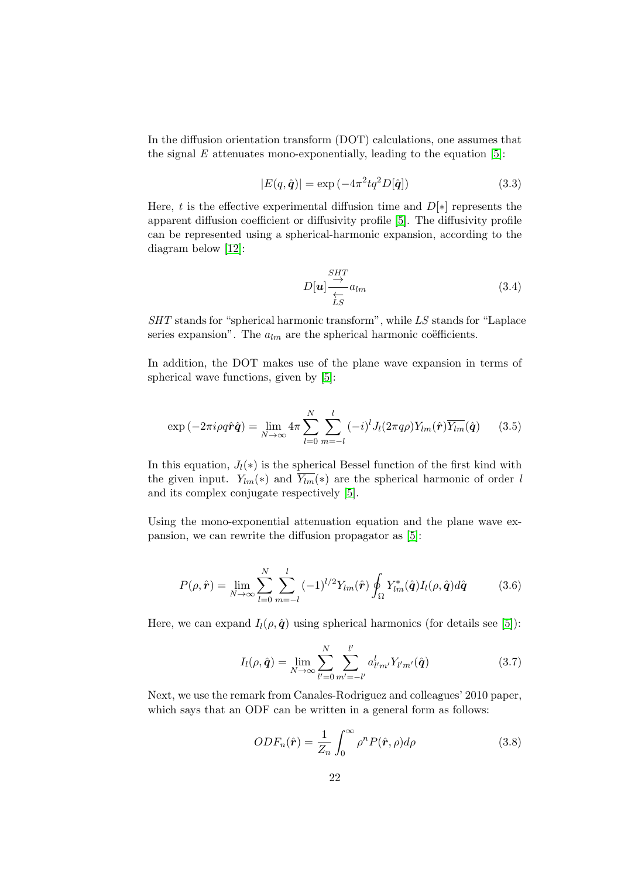In the diffusion orientation transform (DOT) calculations, one assumes that the signal  $E$  attenuates mono-exponentially, leading to the equation [\[5\]](#page-34-9):

$$
|E(q, \hat{q})| = \exp\left(-4\pi^2 t q^2 D[\hat{q}]\right)
$$
\n(3.3)

Here, t is the effective experimental diffusion time and  $D[*]$  represents the apparent diffusion coefficient or diffusivity profile [\[5\]](#page-34-9). The diffusivity profile can be represented using a spherical-harmonic expansion, according to the diagram below [\[12\]](#page-35-2):

$$
D[\boldsymbol{u}] \frac{\stackrel{SHT}{\rightarrow}}{\stackrel{\longleftarrow}{\stackrel{\longleftarrow}{\stackrel{\longleftarrow}{\stackrel{\longleftarrow}{\stackrel{\longleftarrow}{\stackrel{\longleftarrow}{\stackrel{\longleftarrow}{\stackrel{\longleftarrow}{\stackrel{\longleftarrow}{\stackrel{\longleftarrow}{\stackrel{\longleftarrow}{\stackrel{\longleftarrow}{\stackrel{\longleftarrow}{\stackrel{\longleftarrow}{\stackrel{\longleftarrow}{\stackrel{\longleftarrow}{\stackrel{\longleftarrow}{\stackrel{\longleftarrow}{\stackrel{\longleftarrow}{\stackrel{\longleftarrow}{\stackrel{\longleftarrow}{\stackrel{\longleftarrow}{\stackrel{\longleftarrow}{\stackrel{\longleftarrow}{\stackrel{\longleftarrow}{\stackrel{\longleftarrow}{\stackrel{\longleftarrow}{\stackrel{\longleftarrow}{\stackrel{\longleftarrow}{\stackrel{\longleftarrow}{\stackrel{\longleftarrow}{\stackrel{\longleftarrow}{\stackrel{\longleftarrow}{\stackrel{\longleftarrow}{\stackrel{\longleftarrow}{\stackrel{\longleftarrow}{\stackrel{\longleftarrow}{\stackrel{\longleftarrow}{\stackrel{\longleftarrow}{\stackrel{\longleftarrow}{\stackrel{\longleftarrow}{\stackrel{\longleftarrow}{\stackrel{\longleftarrow}{\stackrel{\longleftarrow}{\stackrel{\longleftarrow}{\stackrel{\longleftarrow}{\stackrel{\longleftarrow}{\stackrel{\longleftarrow}{\stackrel{\longleftarrow}{\stackrel{\longleftarrow}{\stackrel{\longleftarrow}{\stackrel{\longleftarrow}{\stackrel{\longleftarrow}{\stackrel{\longleftarrow}{\stackrel{\longleftarrow}{\stackrel{\longleftarrow}{\stackrel{\longleftarrow}{\stackrel{\longleftarrow}{\stackrel{\longleftarrow}{\stackrel{\longleftarrow}{\stackrel{\longleftarrow}{\stackrel{\longleftarrow}{\stackrel{\longleftarrow}{\stackrel{\longleftarrow}{\stackrel{\longleftarrow}{\stackrel{\longleftarrow}{\stackrel{\longleftarrow}{\stackrel{\longleftarrow}{\stackrel{\longleftarrow}{\stackrel{\longleftarrow}{\stackrel{\longleftarrow}{\stackrel{\longleftarrow}{\stackrel{\longleftarrow}{\stackrel{\longleftarrow}{\stackrel{\longleftarrow}{\stackrel{\longleftarrow}{\stackrel{\longleftarrow}{\stackrel{\longleftarrow}{\stackrel{\longleftarrow}{\stackrel{\longleftarrow}{\stackrel{\longleftarrow}{\stackrel{\longleftarrow}{\stackrel{\longleftarrow}{\stackrel{\longleftarrow}{\stackrel{\longleftarrow}{\stackrel{\longleftarrow}{\stackrel{\longleftarrow}{\stackrel{\longleftarrow}{\stackrel{\longleftarrow}{\stackrel{\longleftarrow}{\stackrel{\longleftarrow}{\stackrel{\longleftarrow}{\stackrel{\
$$

SHT stands for "spherical harmonic transform", while LS stands for "Laplace" series expansion". The  $a_{lm}$  are the spherical harmonic coëfficients.

In addition, the DOT makes use of the plane wave expansion in terms of spherical wave functions, given by [\[5\]](#page-34-9):

$$
\exp\left(-2\pi i\rho q\hat{\boldsymbol{r}}\hat{\boldsymbol{q}}\right) = \lim_{N \to \infty} 4\pi \sum_{l=0}^{N} \sum_{m=-l}^{l} (-i)^{l} J_{l}(2\pi q\rho) Y_{lm}(\hat{\boldsymbol{r}}) \overline{Y_{lm}}(\hat{\boldsymbol{q}}) \qquad (3.5)
$$

In this equation,  $J_l(*)$  is the spherical Bessel function of the first kind with the given input.  $Y_{lm}(*)$  and  $\overline{Y_{lm}}(*)$  are the spherical harmonic of order l and its complex conjugate respectively [\[5\]](#page-34-9).

Using the mono-exponential attenuation equation and the plane wave expansion, we can rewrite the diffusion propagator as [\[5\]](#page-34-9):

$$
P(\rho, \hat{\bm{r}}) = \lim_{N \to \infty} \sum_{l=0}^{N} \sum_{m=-l}^{l} (-1)^{l/2} Y_{lm}(\hat{\bm{r}}) \oint_{\Omega} Y_{lm}^*(\hat{\bm{q}}) I_l(\rho, \hat{\bm{q}}) d\hat{\bm{q}} \qquad (3.6)
$$

Here, we can expand  $I_l(\rho, \hat{q})$  using spherical harmonics (for details see [\[5\]](#page-34-9)):

$$
I_l(\rho, \hat{\mathbf{q}}) = \lim_{N \to \infty} \sum_{l'=0}^{N} \sum_{m'= -l'}^{l'} a_{l'm'}^l Y_{l'm'}(\hat{\mathbf{q}})
$$
(3.7)

Next, we use the remark from Canales-Rodriguez and colleagues' 2010 paper, which says that an ODF can be written in a general form as follows:

$$
ODF_n(\hat{r}) = \frac{1}{Z_n} \int_0^\infty \rho^n P(\hat{r}, \rho) d\rho \qquad (3.8)
$$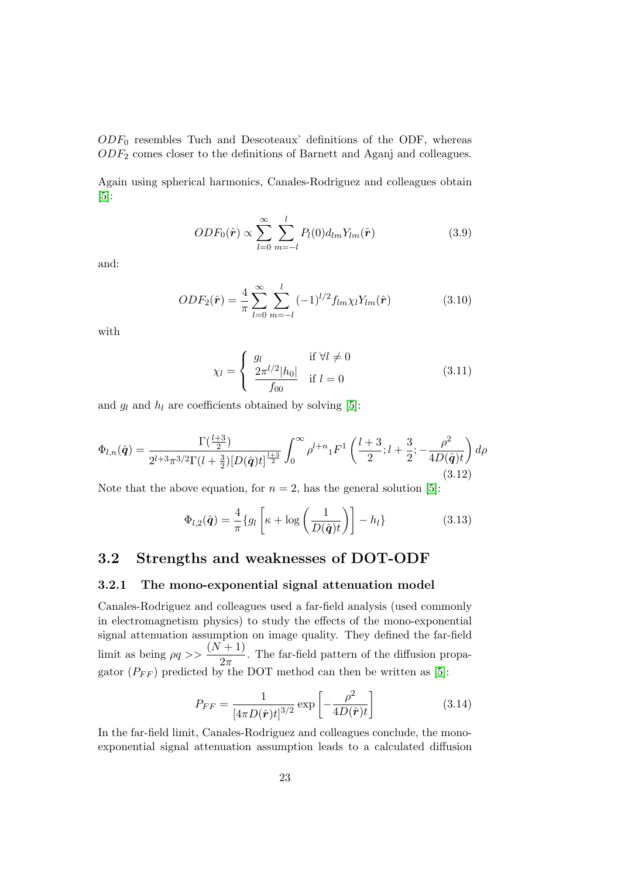$ODF_0$  resembles Tuch and Descoteaux' definitions of the ODF, whereas  $ODF<sub>2</sub>$  comes closer to the definitions of Barnett and Aganj and colleagues.

Again using spherical harmonics, Canales-Rodriguez and colleagues obtain [\[5\]](#page-34-9):

$$
ODF_0(\hat{\boldsymbol{r}}) \propto \sum_{l=0}^{\infty} \sum_{m=-l}^{l} P_l(0) d_{lm} Y_{lm}(\hat{\boldsymbol{r}})
$$
\n(3.9)

and:

$$
ODF_2(\hat{\boldsymbol{r}}) = \frac{4}{\pi} \sum_{l=0}^{\infty} \sum_{m=-l}^{l} (-1)^{l/2} f_{lm} \chi_l Y_{lm}(\hat{\boldsymbol{r}})
$$
(3.10)

with

$$
\chi_l = \begin{cases} g_l & \text{if } \forall l \neq 0\\ \frac{2\pi^{l/2} |h_0|}{f_{00}} & \text{if } l = 0 \end{cases}
$$
(3.11)

and  $g_l$  and  $h_l$  are coefficients obtained by solving [\[5\]](#page-34-9):

$$
\Phi_{l,n}(\hat{\boldsymbol{q}}) = \frac{\Gamma(\frac{l+3}{2})}{2^{l+3}\pi^{3/2}\Gamma(l+\frac{3}{2})[D(\hat{\boldsymbol{q}})t]^{\frac{l+3}{2}}} \int_0^\infty \rho^{l+n} {}_1F^1\left(\frac{l+3}{2};l+\frac{3}{2};-\frac{\rho^2}{4D(\hat{\boldsymbol{q}})t}\right)d\rho
$$
\n(3.12)

Note that the above equation, for  $n = 2$ , has the general solution [\[5\]](#page-34-9):

$$
\Phi_{l,2}(\hat{\boldsymbol{q}}) = \frac{4}{\pi} \{ g_l \left[ \kappa + \log \left( \frac{1}{D(\hat{\boldsymbol{q}})t} \right) \right] - h_l \}
$$
(3.13)

### <span id="page-25-0"></span>3.2 Strengths and weaknesses of DOT-ODF

#### <span id="page-25-1"></span>3.2.1 The mono-exponential signal attenuation model

Canales-Rodriguez and colleagues used a far-field analysis (used commonly in electromagnetism physics) to study the effects of the mono-exponential signal attenuation assumption on image quality. They defined the far-field limit as being  $\rho q \gg \frac{(N+1)}{2}$  $\frac{1}{2\pi}$ . The far-field pattern of the diffusion propagator  $(P_{FF})$  predicted by the DOT method can then be written as [\[5\]](#page-34-9):

$$
P_{FF} = \frac{1}{\left[4\pi D(\hat{\boldsymbol{r}})t\right]^{3/2}} \exp\left[-\frac{\rho^2}{4D(\hat{\boldsymbol{r}})t}\right] \tag{3.14}
$$

In the far-field limit, Canales-Rodriguez and colleagues conclude, the monoexponential signal attenuation assumption leads to a calculated diffusion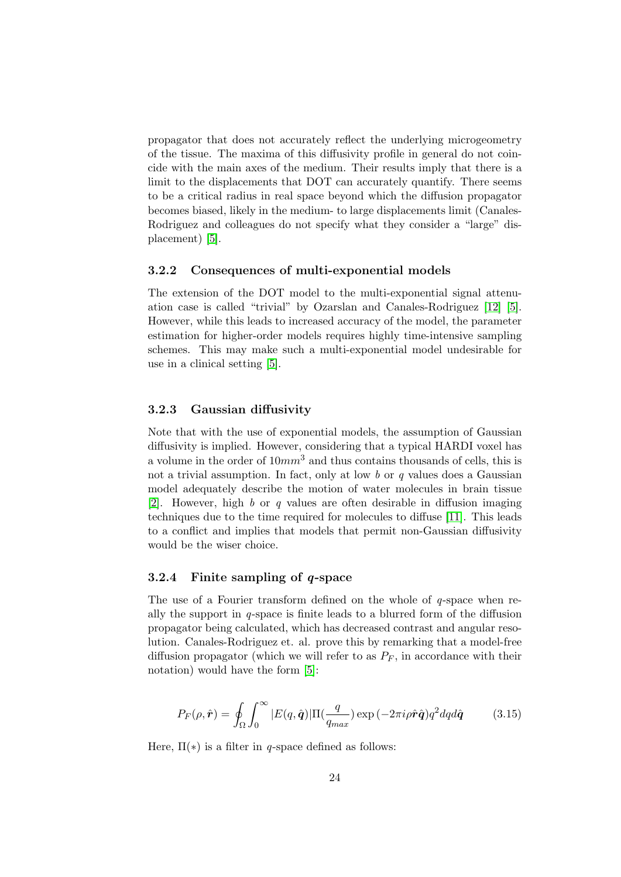propagator that does not accurately reflect the underlying microgeometry of the tissue. The maxima of this diffusivity profile in general do not coincide with the main axes of the medium. Their results imply that there is a limit to the displacements that DOT can accurately quantify. There seems to be a critical radius in real space beyond which the diffusion propagator becomes biased, likely in the medium- to large displacements limit (Canales-Rodriguez and colleagues do not specify what they consider a "large" displacement) [\[5\]](#page-34-9).

#### <span id="page-26-0"></span>3.2.2 Consequences of multi-exponential models

The extension of the DOT model to the multi-exponential signal attenuation case is called "trivial" by Ozarslan and Canales-Rodriguez [\[12\]](#page-35-2) [\[5\]](#page-34-9). However, while this leads to increased accuracy of the model, the parameter estimation for higher-order models requires highly time-intensive sampling schemes. This may make such a multi-exponential model undesirable for use in a clinical setting [\[5\]](#page-34-9).

#### <span id="page-26-1"></span>3.2.3 Gaussian diffusivity

Note that with the use of exponential models, the assumption of Gaussian diffusivity is implied. However, considering that a typical HARDI voxel has a volume in the order of  $10mm<sup>3</sup>$  and thus contains thousands of cells, this is not a trivial assumption. In fact, only at low  $b$  or  $q$  values does a Gaussian model adequately describe the motion of water molecules in brain tissue [\[2\]](#page-34-2). However, high b or q values are often desirable in diffusion imaging techniques due to the time required for molecules to diffuse [\[11\]](#page-34-10). This leads to a conflict and implies that models that permit non-Gaussian diffusivity would be the wiser choice.

#### <span id="page-26-2"></span>3.2.4 Finite sampling of q-space

The use of a Fourier transform defined on the whole of q-space when really the support in  $q$ -space is finite leads to a blurred form of the diffusion propagator being calculated, which has decreased contrast and angular resolution. Canales-Rodriguez et. al. prove this by remarking that a model-free diffusion propagator (which we will refer to as  $P_F$ , in accordance with their notation) would have the form [\[5\]](#page-34-9):

<span id="page-26-3"></span>
$$
P_F(\rho, \hat{\mathbf{r}}) = \oint_{\Omega} \int_0^{\infty} |E(q, \hat{\mathbf{q}})| \Pi(\frac{q}{q_{max}}) \exp(-2\pi i \rho \hat{\mathbf{r}} \hat{\mathbf{q}}) q^2 dq d\hat{\mathbf{q}} \tag{3.15}
$$

Here,  $\Pi(*)$  is a filter in q-space defined as follows: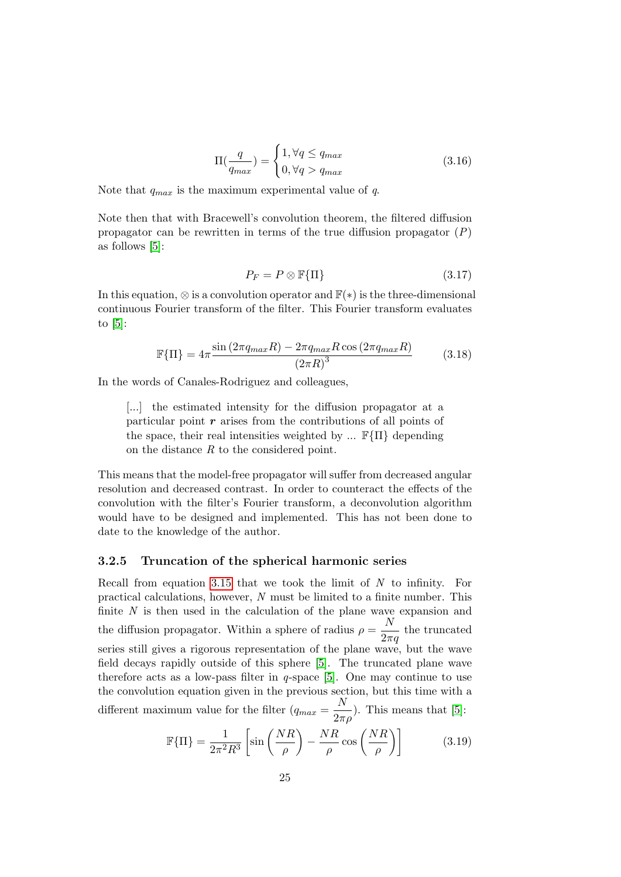$$
\Pi(\frac{q}{q_{max}}) = \begin{cases} 1, \forall q \le q_{max} \\ 0, \forall q > q_{max} \end{cases}
$$
\n(3.16)

Note that  $q_{max}$  is the maximum experimental value of q.

Note then that with Bracewell's convolution theorem, the filtered diffusion propagator can be rewritten in terms of the true diffusion propagator  $(P)$ as follows [\[5\]](#page-34-9):

$$
P_F = P \otimes \mathbb{F}\{\Pi\} \tag{3.17}
$$

In this equation,  $\otimes$  is a convolution operator and  $\mathbb{F}(*)$  is the three-dimensional continuous Fourier transform of the filter. This Fourier transform evaluates to [\[5\]](#page-34-9):

$$
\mathbb{F}\{\Pi\} = 4\pi \frac{\sin\left(2\pi q_{max}R\right) - 2\pi q_{max}R\cos\left(2\pi q_{max}R\right)}{\left(2\pi R\right)^3} \tag{3.18}
$$

In the words of Canales-Rodriguez and colleagues,

[...] the estimated intensity for the diffusion propagator at a particular point  $r$  arises from the contributions of all points of the space, their real intensities weighted by ...  $\mathbb{F}\{\Pi\}$  depending on the distance  $R$  to the considered point.

This means that the model-free propagator will suffer from decreased angular resolution and decreased contrast. In order to counteract the effects of the convolution with the filter's Fourier transform, a deconvolution algorithm would have to be designed and implemented. This has not been done to date to the knowledge of the author.

#### <span id="page-27-0"></span>3.2.5 Truncation of the spherical harmonic series

Recall from equation [3.15](#page-26-3) that we took the limit of  $N$  to infinity. For practical calculations, however, N must be limited to a finite number. This finite  $N$  is then used in the calculation of the plane wave expansion and the diffusion propagator. Within a sphere of radius  $\rho = \frac{N}{2}$  $\frac{1}{2\pi q}$  the truncated series still gives a rigorous representation of the plane wave, but the wave field decays rapidly outside of this sphere [\[5\]](#page-34-9). The truncated plane wave therefore acts as a low-pass filter in  $q$ -space [\[5\]](#page-34-9). One may continue to use the convolution equation given in the previous section, but this time with a different maximum value for the filter  $(q_{max} = \frac{N}{2})$  $\frac{1}{2\pi\rho}$ ). This means that [\[5\]](#page-34-9):

$$
\mathbb{F}\{\Pi\} = \frac{1}{2\pi^2 R^3} \left[ \sin\left(\frac{NR}{\rho}\right) - \frac{NR}{\rho} \cos\left(\frac{NR}{\rho}\right) \right]
$$
(3.19)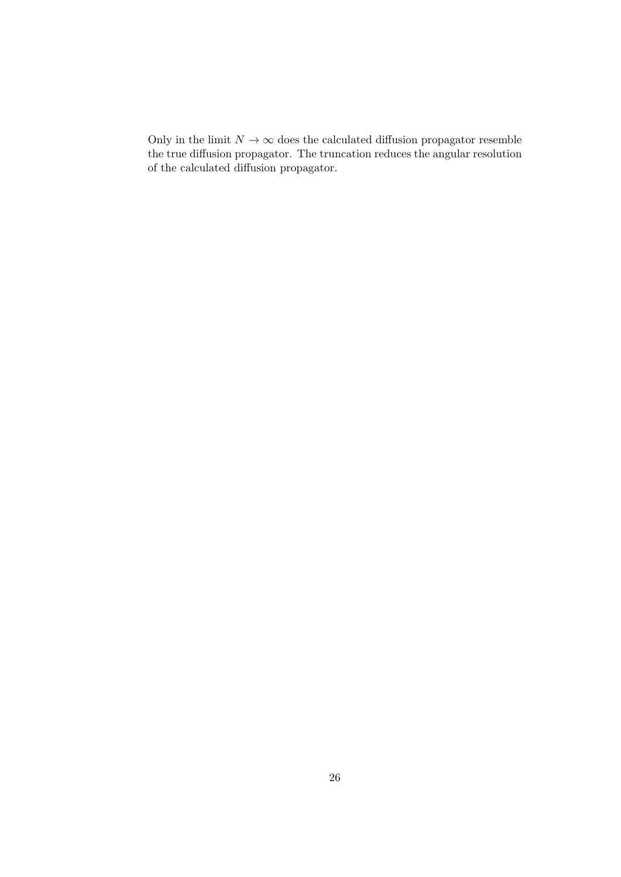Only in the limit  $N \to \infty$  does the calculated diffusion propagator resemble the true diffusion propagator. The truncation reduces the angular resolution of the calculated diffusion propagator.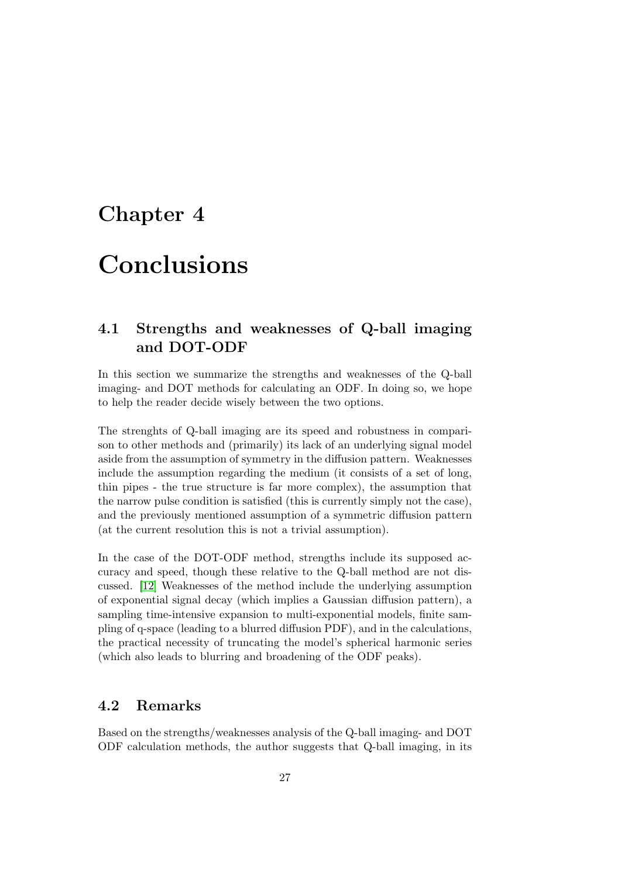# <span id="page-29-0"></span>Chapter 4

# Conclusions

# <span id="page-29-1"></span>4.1 Strengths and weaknesses of Q-ball imaging and DOT-ODF

In this section we summarize the strengths and weaknesses of the Q-ball imaging- and DOT methods for calculating an ODF. In doing so, we hope to help the reader decide wisely between the two options.

The strenghts of Q-ball imaging are its speed and robustness in comparison to other methods and (primarily) its lack of an underlying signal model aside from the assumption of symmetry in the diffusion pattern. Weaknesses include the assumption regarding the medium (it consists of a set of long, thin pipes - the true structure is far more complex), the assumption that the narrow pulse condition is satisfied (this is currently simply not the case), and the previously mentioned assumption of a symmetric diffusion pattern (at the current resolution this is not a trivial assumption).

In the case of the DOT-ODF method, strengths include its supposed accuracy and speed, though these relative to the Q-ball method are not discussed. [\[12\]](#page-35-2) Weaknesses of the method include the underlying assumption of exponential signal decay (which implies a Gaussian diffusion pattern), a sampling time-intensive expansion to multi-exponential models, finite sampling of q-space (leading to a blurred diffusion PDF), and in the calculations, the practical necessity of truncating the model's spherical harmonic series (which also leads to blurring and broadening of the ODF peaks).

### <span id="page-29-2"></span>4.2 Remarks

Based on the strengths/weaknesses analysis of the Q-ball imaging- and DOT ODF calculation methods, the author suggests that Q-ball imaging, in its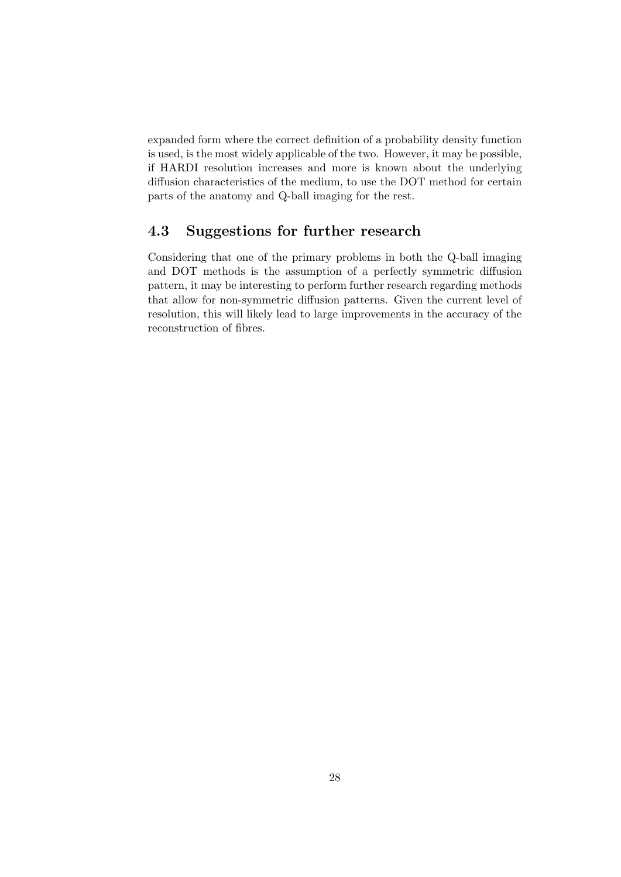expanded form where the correct definition of a probability density function is used, is the most widely applicable of the two. However, it may be possible, if HARDI resolution increases and more is known about the underlying diffusion characteristics of the medium, to use the DOT method for certain parts of the anatomy and Q-ball imaging for the rest.

# <span id="page-30-0"></span>4.3 Suggestions for further research

Considering that one of the primary problems in both the Q-ball imaging and DOT methods is the assumption of a perfectly symmetric diffusion pattern, it may be interesting to perform further research regarding methods that allow for non-symmetric diffusion patterns. Given the current level of resolution, this will likely lead to large improvements in the accuracy of the reconstruction of fibres.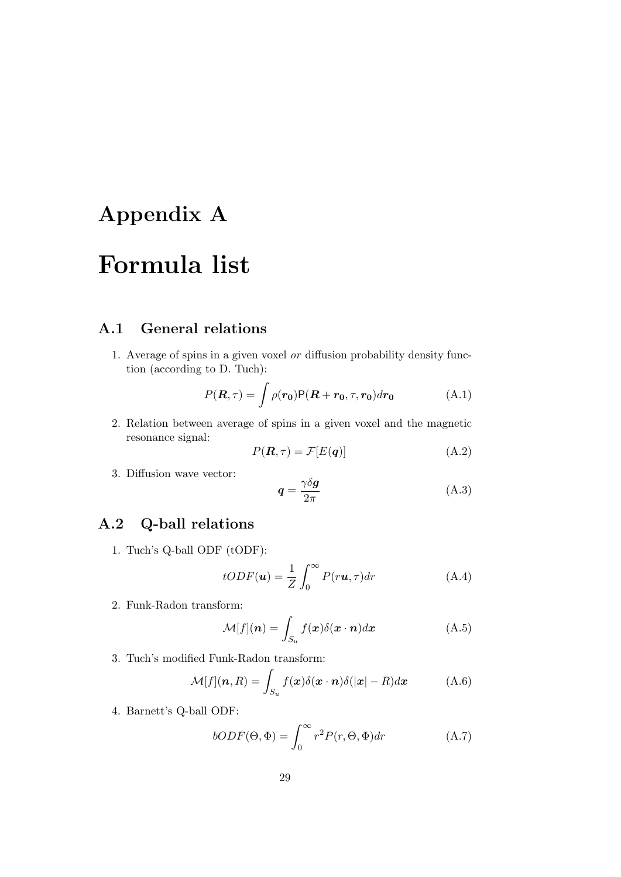# <span id="page-31-0"></span>Appendix A

# Formula list

# <span id="page-31-1"></span>A.1 General relations

1. Average of spins in a given voxel or diffusion probability density function (according to D. Tuch):

$$
P(\mathbf{R}, \tau) = \int \rho(\mathbf{r_0}) \mathsf{P}(\mathbf{R} + \mathbf{r_0}, \tau, \mathbf{r_0}) d\mathbf{r_0}
$$
 (A.1)

2. Relation between average of spins in a given voxel and the magnetic resonance signal:

$$
P(\mathbf{R}, \tau) = \mathcal{F}[E(\mathbf{q})]
$$
 (A.2)

3. Diffusion wave vector:

$$
q = \frac{\gamma \delta g}{2\pi} \tag{A.3}
$$

# <span id="page-31-2"></span>A.2 Q-ball relations

1. Tuch's Q-ball ODF (tODF):

$$
tODF(\mathbf{u}) = \frac{1}{Z} \int_0^\infty P(r\mathbf{u}, \tau) dr \tag{A.4}
$$

2. Funk-Radon transform:

$$
\mathcal{M}[f](n) = \int_{S_u} f(\boldsymbol{x}) \delta(\boldsymbol{x} \cdot \boldsymbol{n}) d\boldsymbol{x}
$$
 (A.5)

3. Tuch's modified Funk-Radon transform:

$$
\mathcal{M}[f](\boldsymbol{n},R) = \int_{S_u} f(\boldsymbol{x}) \delta(\boldsymbol{x} \cdot \boldsymbol{n}) \delta(|\boldsymbol{x}| - R) d\boldsymbol{x} \tag{A.6}
$$

4. Barnett's Q-ball ODF:

$$
bODF(\Theta, \Phi) = \int_0^\infty r^2 P(r, \Theta, \Phi) dr \tag{A.7}
$$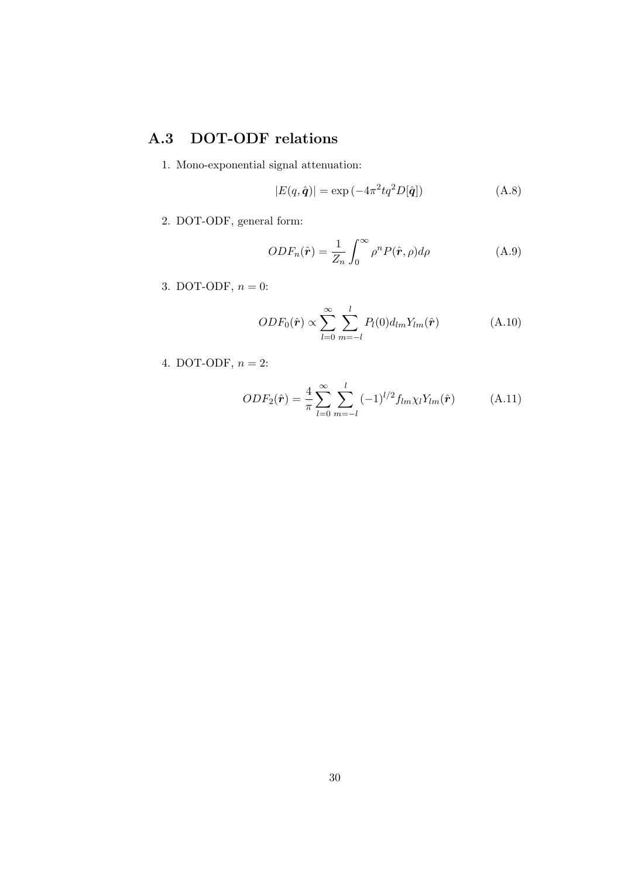# <span id="page-32-0"></span>A.3 DOT-ODF relations

1. Mono-exponential signal attenuation:

$$
|E(q, \hat{q})| = \exp\left(-4\pi^2 t q^2 D[\hat{q}]\right)
$$
 (A.8)

2. DOT-ODF, general form:

$$
ODF_n(\hat{r}) = \frac{1}{Z_n} \int_0^\infty \rho^n P(\hat{r}, \rho) d\rho \tag{A.9}
$$

3. DOT-ODF,  $n = 0$ :

$$
ODF_0(\hat{\boldsymbol{r}}) \propto \sum_{l=0}^{\infty} \sum_{m=-l}^{l} P_l(0) d_{lm} Y_{lm}(\hat{\boldsymbol{r}})
$$
(A.10)

4. DOT-ODF,  $n = 2$ :

$$
ODF_2(\hat{\boldsymbol{r}}) = \frac{4}{\pi} \sum_{l=0}^{\infty} \sum_{m=-l}^{l} (-1)^{l/2} f_{lm} \chi_l Y_{lm}(\hat{\boldsymbol{r}})
$$
(A.11)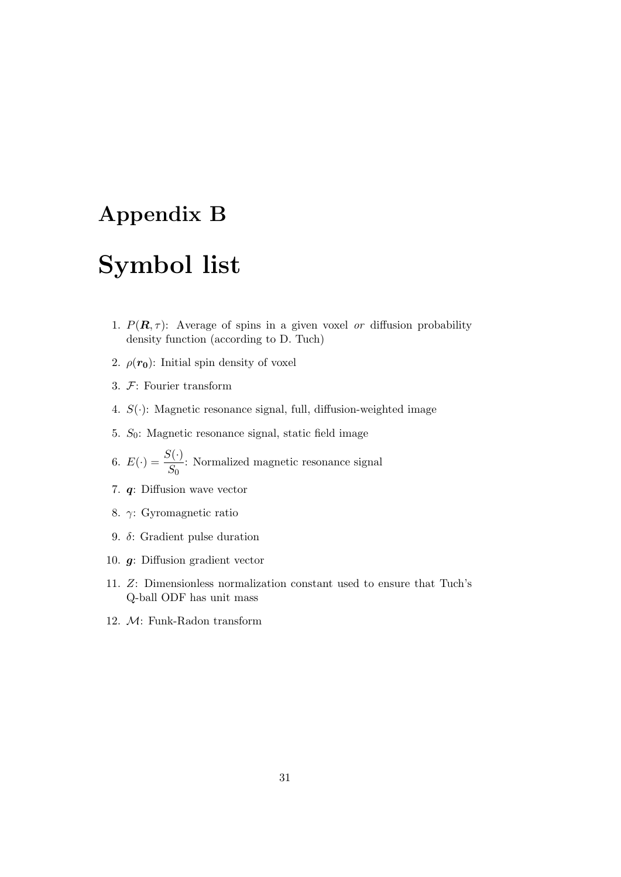# <span id="page-33-0"></span>Appendix B

# Symbol list

- 1.  $P(\mathbf{R}, \tau)$ : Average of spins in a given voxel or diffusion probability density function (according to D. Tuch)
- 2.  $\rho(r_0)$ : Initial spin density of voxel
- 3. F: Fourier transform
- 4.  $S(\cdot)$ : Magnetic resonance signal, full, diffusion-weighted image
- 5.  $S_0$ : Magnetic resonance signal, static field image
- 6.  $E(\cdot) = \frac{S(\cdot)}{S}$  $\frac{\partial \langle \cdot \rangle}{\partial S_0}$ : Normalized magnetic resonance signal
- 7. q: Diffusion wave vector
- 8. γ: Gyromagnetic ratio
- 9. δ: Gradient pulse duration
- 10. g: Diffusion gradient vector
- 11. Z: Dimensionless normalization constant used to ensure that Tuch's Q-ball ODF has unit mass
- 12. M: Funk-Radon transform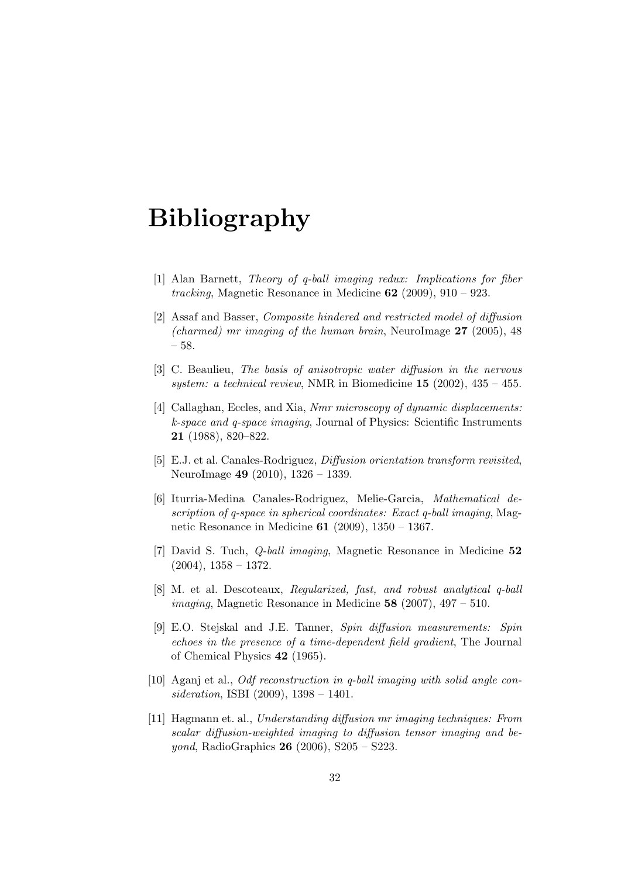# Bibliography

- <span id="page-34-5"></span>[1] Alan Barnett, Theory of q-ball imaging redux: Implications for fiber tracking, Magnetic Resonance in Medicine  $62$  (2009), 910 – 923.
- <span id="page-34-2"></span>[2] Assaf and Basser, Composite hindered and restricted model of diffusion (charmed) mr imaging of the human brain, NeuroImage  $27$  (2005), 48 – 58.
- <span id="page-34-0"></span>[3] C. Beaulieu, The basis of anisotropic water diffusion in the nervous system: a technical review, NMR in Biomedicine  $15$  (2002),  $435 - 455$ .
- <span id="page-34-4"></span>[4] Callaghan, Eccles, and Xia, Nmr microscopy of dynamic displacements: k-space and q-space imaging, Journal of Physics: Scientific Instruments 21 (1988), 820–822.
- <span id="page-34-9"></span>[5] E.J. et al. Canales-Rodriguez, Diffusion orientation transform revisited, NeuroImage 49 (2010), 1326 – 1339.
- <span id="page-34-8"></span>[6] Iturria-Medina Canales-Rodriguez, Melie-Garcia, Mathematical description of q-space in spherical coordinates: Exact q-ball imaging, Magnetic Resonance in Medicine 61 (2009), 1350 – 1367.
- <span id="page-34-3"></span>[7] David S. Tuch, Q-ball imaging, Magnetic Resonance in Medicine 52  $(2004)$ ,  $1358 - 1372$ .
- <span id="page-34-7"></span>[8] M. et al. Descoteaux, Regularized, fast, and robust analytical q-ball *imaging*, Magnetic Resonance in Medicine  $58$  (2007), 497 – 510.
- <span id="page-34-1"></span>[9] E.O. Stejskal and J.E. Tanner, Spin diffusion measurements: Spin echoes in the presence of a time-dependent field gradient, The Journal of Chemical Physics 42 (1965).
- <span id="page-34-6"></span>[10] Aganj et al., Odf reconstruction in q-ball imaging with solid angle consideration, ISBI (2009), 1398 – 1401.
- <span id="page-34-10"></span>[11] Hagmann et. al., Understanding diffusion mr imaging techniques: From scalar diffusion-weighted imaging to diffusion tensor imaging and be*yond*, RadioGraphics **26** (2006), S205 – S223.